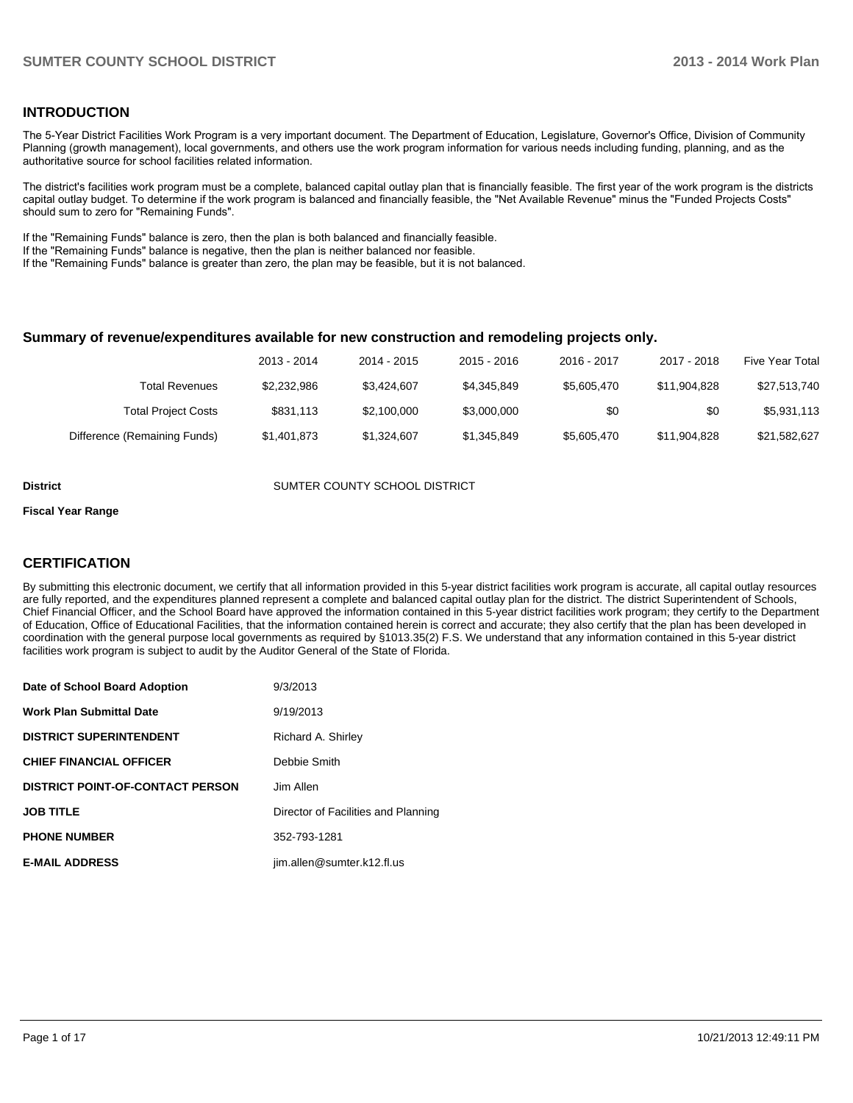### **INTRODUCTION**

The 5-Year District Facilities Work Program is a very important document. The Department of Education, Legislature, Governor's Office, Division of Community Planning (growth management), local governments, and others use the work program information for various needs including funding, planning, and as the authoritative source for school facilities related information.

The district's facilities work program must be a complete, balanced capital outlay plan that is financially feasible. The first year of the work program is the districts capital outlay budget. To determine if the work program is balanced and financially feasible, the "Net Available Revenue" minus the "Funded Projects Costs" should sum to zero for "Remaining Funds".

If the "Remaining Funds" balance is zero, then the plan is both balanced and financially feasible.

If the "Remaining Funds" balance is negative, then the plan is neither balanced nor feasible.

If the "Remaining Funds" balance is greater than zero, the plan may be feasible, but it is not balanced.

#### **Summary of revenue/expenditures available for new construction and remodeling projects only.**

| <b>Five Year Total</b> | 2017 - 2018  | 2016 - 2017 | 2015 - 2016 | 2014 - 2015 | 2013 - 2014 |                              |
|------------------------|--------------|-------------|-------------|-------------|-------------|------------------------------|
| \$27,513,740           | \$11.904.828 | \$5.605.470 | \$4.345.849 | \$3.424.607 | \$2.232.986 | Total Revenues               |
| \$5,931,113            | \$0          | \$0         | \$3.000.000 | \$2,100,000 | \$831.113   | <b>Total Project Costs</b>   |
| \$21,582,627           | \$11.904.828 | \$5,605,470 | \$1.345.849 | \$1.324.607 | \$1,401,873 | Difference (Remaining Funds) |

**District COUNTER COUNTY SCHOOL DISTRICT** 

#### **Fiscal Year Range**

### **CERTIFICATION**

By submitting this electronic document, we certify that all information provided in this 5-year district facilities work program is accurate, all capital outlay resources are fully reported, and the expenditures planned represent a complete and balanced capital outlay plan for the district. The district Superintendent of Schools, Chief Financial Officer, and the School Board have approved the information contained in this 5-year district facilities work program; they certify to the Department of Education, Office of Educational Facilities, that the information contained herein is correct and accurate; they also certify that the plan has been developed in coordination with the general purpose local governments as required by §1013.35(2) F.S. We understand that any information contained in this 5-year district facilities work program is subject to audit by the Auditor General of the State of Florida.

| Date of School Board Adoption           | 9/3/2013                            |
|-----------------------------------------|-------------------------------------|
| <b>Work Plan Submittal Date</b>         | 9/19/2013                           |
| <b>DISTRICT SUPERINTENDENT</b>          | Richard A. Shirley                  |
| <b>CHIEF FINANCIAL OFFICER</b>          | Debbie Smith                        |
| <b>DISTRICT POINT-OF-CONTACT PERSON</b> | Jim Allen                           |
| <b>JOB TITLE</b>                        | Director of Facilities and Planning |
| <b>PHONE NUMBER</b>                     | 352-793-1281                        |
| <b>E-MAIL ADDRESS</b>                   | jim.allen@sumter.k12.fl.us          |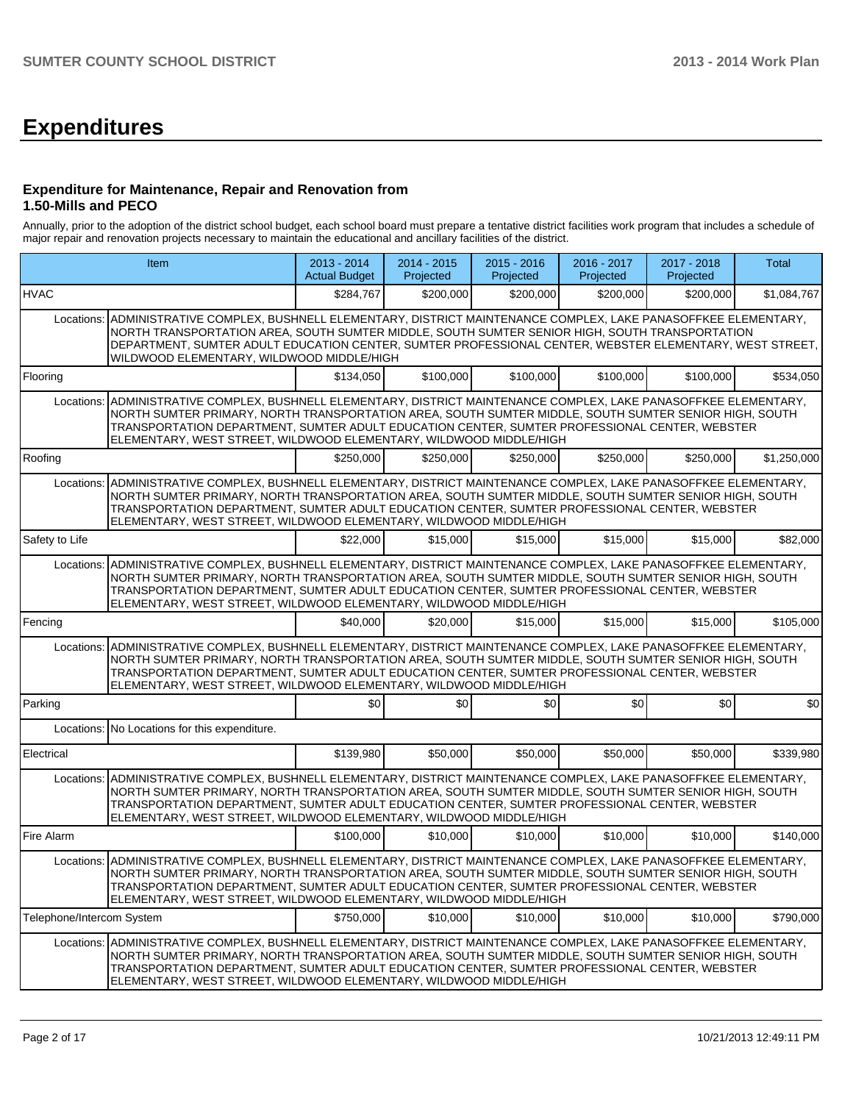# **Expenditures**

### **Expenditure for Maintenance, Repair and Renovation from 1.50-Mills and PECO**

Annually, prior to the adoption of the district school budget, each school board must prepare a tentative district facilities work program that includes a schedule of major repair and renovation projects necessary to maintain the educational and ancillary facilities of the district.

|                           | Item                                                                                                                                                                                                                                                                                                                                                                                               | 2013 - 2014<br><b>Actual Budget</b> | 2014 - 2015<br>Projected | $2015 - 2016$<br>Projected | 2016 - 2017<br>Projected | 2017 - 2018<br>Projected | <b>Total</b> |
|---------------------------|----------------------------------------------------------------------------------------------------------------------------------------------------------------------------------------------------------------------------------------------------------------------------------------------------------------------------------------------------------------------------------------------------|-------------------------------------|--------------------------|----------------------------|--------------------------|--------------------------|--------------|
| <b>HVAC</b>               |                                                                                                                                                                                                                                                                                                                                                                                                    | \$284,767                           | \$200,000                | \$200,000                  | \$200,000                | \$200,000                | \$1,084,767  |
|                           | Locations: ADMINISTRATIVE COMPLEX, BUSHNELL ELEMENTARY, DISTRICT MAINTENANCE COMPLEX, LAKE PANASOFFKEE ELEMENTARY,<br>NORTH TRANSPORTATION AREA, SOUTH SUMTER MIDDLE, SOUTH SUMTER SENIOR HIGH, SOUTH TRANSPORTATION<br>DEPARTMENT, SUMTER ADULT EDUCATION CENTER, SUMTER PROFESSIONAL CENTER, WEBSTER ELEMENTARY, WEST STREET,<br>WILDWOOD ELEMENTARY, WILDWOOD MIDDLE/HIGH                       |                                     |                          |                            |                          |                          |              |
| Flooring                  |                                                                                                                                                                                                                                                                                                                                                                                                    | \$134,050                           | \$100,000                | \$100,000                  | \$100,000                | \$100,000                | \$534,050    |
| Locations:                | ADMINISTRATIVE COMPLEX, BUSHNELL ELEMENTARY, DISTRICT MAINTENANCE COMPLEX, LAKE PANASOFFKEE ELEMENTARY,<br>NORTH SUMTER PRIMARY, NORTH TRANSPORTATION AREA, SOUTH SUMTER MIDDLE, SOUTH SUMTER SENIOR HIGH, SOUTH<br>TRANSPORTATION DEPARTMENT. SUMTER ADULT EDUCATION CENTER, SUMTER PROFESSIONAL CENTER, WEBSTER<br>ELEMENTARY, WEST STREET, WILDWOOD ELEMENTARY, WILDWOOD MIDDLE/HIGH            |                                     |                          |                            |                          |                          |              |
| Roofing                   |                                                                                                                                                                                                                                                                                                                                                                                                    | \$250,000                           | \$250,000                | \$250,000                  | \$250,000                | \$250,000                | \$1,250,000  |
|                           | Locations: ADMINISTRATIVE COMPLEX, BUSHNELL ELEMENTARY, DISTRICT MAINTENANCE COMPLEX, LAKE PANASOFFKEE ELEMENTARY,<br>NORTH SUMTER PRIMARY, NORTH TRANSPORTATION AREA, SOUTH SUMTER MIDDLE, SOUTH SUMTER SENIOR HIGH, SOUTH<br>TRANSPORTATION DEPARTMENT, SUMTER ADULT EDUCATION CENTER, SUMTER PROFESSIONAL CENTER, WEBSTER<br>ELEMENTARY, WEST STREET, WILDWOOD ELEMENTARY, WILDWOOD MIDDLE/HIGH |                                     |                          |                            |                          |                          |              |
| Safety to Life            |                                                                                                                                                                                                                                                                                                                                                                                                    | \$22,000                            | \$15,000                 | \$15,000                   | \$15,000                 | \$15,000                 | \$82,000     |
| Locations:                | ADMINISTRATIVE COMPLEX, BUSHNELL ELEMENTARY, DISTRICT MAINTENANCE COMPLEX, LAKE PANASOFFKEE ELEMENTARY,<br>NORTH SUMTER PRIMARY, NORTH TRANSPORTATION AREA, SOUTH SUMTER MIDDLE, SOUTH SUMTER SENIOR HIGH, SOUTH<br>TRANSPORTATION DEPARTMENT, SUMTER ADULT EDUCATION CENTER, SUMTER PROFESSIONAL CENTER, WEBSTER<br>ELEMENTARY, WEST STREET, WILDWOOD ELEMENTARY, WILDWOOD MIDDLE/HIGH            |                                     |                          |                            |                          |                          |              |
| Fencing                   |                                                                                                                                                                                                                                                                                                                                                                                                    | \$40,000                            | \$20,000                 | \$15,000                   | \$15,000                 | \$15,000                 | \$105,000    |
| Locations:                | ADMINISTRATIVE COMPLEX, BUSHNELL ELEMENTARY, DISTRICT MAINTENANCE COMPLEX, LAKE PANASOFFKEE ELEMENTARY,<br>NORTH SUMTER PRIMARY, NORTH TRANSPORTATION AREA, SOUTH SUMTER MIDDLE, SOUTH SUMTER SENIOR HIGH, SOUTH<br>TRANSPORTATION DEPARTMENT, SUMTER ADULT EDUCATION CENTER, SUMTER PROFESSIONAL CENTER, WEBSTER<br>ELEMENTARY, WEST STREET, WILDWOOD ELEMENTARY, WILDWOOD MIDDLE/HIGH            |                                     |                          |                            |                          |                          |              |
| Parking                   |                                                                                                                                                                                                                                                                                                                                                                                                    | \$0                                 | \$0                      | \$0                        | \$0                      | \$0                      | \$0          |
|                           | Locations: No Locations for this expenditure.                                                                                                                                                                                                                                                                                                                                                      |                                     |                          |                            |                          |                          |              |
| Electrical                |                                                                                                                                                                                                                                                                                                                                                                                                    | \$139,980                           | \$50,000                 | \$50,000                   | \$50,000                 | \$50,000                 | \$339,980    |
|                           | Locations: ADMINISTRATIVE COMPLEX, BUSHNELL ELEMENTARY, DISTRICT MAINTENANCE COMPLEX, LAKE PANASOFFKEE ELEMENTARY,<br>NORTH SUMTER PRIMARY, NORTH TRANSPORTATION AREA, SOUTH SUMTER MIDDLE, SOUTH SUMTER SENIOR HIGH, SOUTH<br>TRANSPORTATION DEPARTMENT, SUMTER ADULT EDUCATION CENTER, SUMTER PROFESSIONAL CENTER, WEBSTER<br>ELEMENTARY, WEST STREET, WILDWOOD ELEMENTARY, WILDWOOD MIDDLE/HIGH |                                     |                          |                            |                          |                          |              |
| Fire Alarm                |                                                                                                                                                                                                                                                                                                                                                                                                    | \$100,000                           | \$10,000                 | \$10,000                   | \$10,000                 | \$10,000                 | \$140,000    |
|                           | Locations: ADMINISTRATIVE COMPLEX, BUSHNELL ELEMENTARY, DISTRICT MAINTENANCE COMPLEX, LAKE PANASOFFKEE ELEMENTARY,<br>NORTH SUMTER PRIMARY, NORTH TRANSPORTATION AREA, SOUTH SUMTER MIDDLE, SOUTH SUMTER SENIOR HIGH, SOUTH<br>TRANSPORTATION DEPARTMENT, SUMTER ADULT EDUCATION CENTER, SUMTER PROFESSIONAL CENTER, WEBSTER<br>ELEMENTARY, WEST STREET, WILDWOOD ELEMENTARY, WILDWOOD MIDDLE/HIGH |                                     |                          |                            |                          |                          |              |
| Telephone/Intercom System |                                                                                                                                                                                                                                                                                                                                                                                                    | \$750,000                           | \$10,000                 | \$10,000                   | \$10,000                 | \$10,000                 | \$790,000    |
|                           | Locations: ADMINISTRATIVE COMPLEX, BUSHNELL ELEMENTARY, DISTRICT MAINTENANCE COMPLEX, LAKE PANASOFFKEE ELEMENTARY,<br>NORTH SUMTER PRIMARY, NORTH TRANSPORTATION AREA, SOUTH SUMTER MIDDLE, SOUTH SUMTER SENIOR HIGH, SOUTH<br>TRANSPORTATION DEPARTMENT, SUMTER ADULT EDUCATION CENTER, SUMTER PROFESSIONAL CENTER, WEBSTER<br>ELEMENTARY, WEST STREET, WILDWOOD ELEMENTARY, WILDWOOD MIDDLE/HIGH |                                     |                          |                            |                          |                          |              |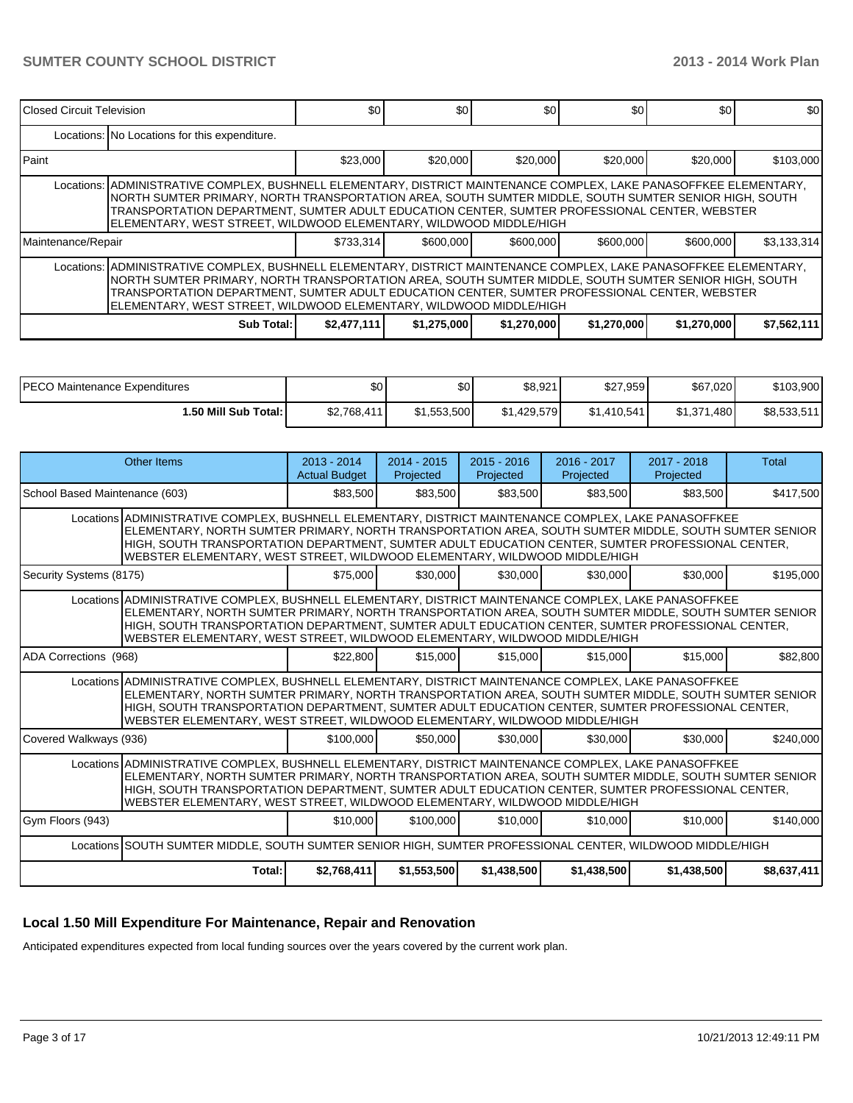| Closed Circuit Television                                                                                                                                                                                                                                                                                                                                                                            |                                                                                                                                                                                                                                                                                                                                                                                                     | \$0         | \$0         | \$0         | \$0         | \$0         | \$0         |  |  |  |
|------------------------------------------------------------------------------------------------------------------------------------------------------------------------------------------------------------------------------------------------------------------------------------------------------------------------------------------------------------------------------------------------------|-----------------------------------------------------------------------------------------------------------------------------------------------------------------------------------------------------------------------------------------------------------------------------------------------------------------------------------------------------------------------------------------------------|-------------|-------------|-------------|-------------|-------------|-------------|--|--|--|
|                                                                                                                                                                                                                                                                                                                                                                                                      | Locations: No Locations for this expenditure.                                                                                                                                                                                                                                                                                                                                                       |             |             |             |             |             |             |  |  |  |
| l Paint                                                                                                                                                                                                                                                                                                                                                                                              |                                                                                                                                                                                                                                                                                                                                                                                                     | \$23,000    | \$20,000    | \$20,000    | \$20,000    | \$20,000    | \$103,000   |  |  |  |
|                                                                                                                                                                                                                                                                                                                                                                                                      | Locations:  ADMINISTRATIVE COMPLEX, BUSHNELL ELEMENTARY, DISTRICT MAINTENANCE COMPLEX, LAKE PANASOFFKEE ELEMENTARY,<br>NORTH SUMTER PRIMARY, NORTH TRANSPORTATION AREA, SOUTH SUMTER MIDDLE, SOUTH SUMTER SENIOR HIGH, SOUTH<br>TRANSPORTATION DEPARTMENT. SUMTER ADULT EDUCATION CENTER. SUMTER PROFESSIONAL CENTER. WEBSTER<br>ELEMENTARY, WEST STREET, WILDWOOD ELEMENTARY, WILDWOOD MIDDLE/HIGH |             |             |             |             |             |             |  |  |  |
| Maintenance/Repair                                                                                                                                                                                                                                                                                                                                                                                   |                                                                                                                                                                                                                                                                                                                                                                                                     | \$733,314   | \$600,000   | \$600,000   | \$600,000   | \$600,000   | \$3,133,314 |  |  |  |
| Locations:   ADMINISTRATIVE COMPLEX, BUSHNELL ELEMENTARY, DISTRICT MAINTENANCE COMPLEX, LAKE PANASOFFKEE ELEMENTARY,<br>NORTH SUMTER PRIMARY, NORTH TRANSPORTATION AREA, SOUTH SUMTER MIDDLE, SOUTH SUMTER SENIOR HIGH, SOUTH<br>TRANSPORTATION DEPARTMENT. SUMTER ADULT EDUCATION CENTER. SUMTER PROFESSIONAL CENTER. WEBSTER<br>ELEMENTARY, WEST STREET, WILDWOOD ELEMENTARY, WILDWOOD MIDDLE/HIGH |                                                                                                                                                                                                                                                                                                                                                                                                     |             |             |             |             |             |             |  |  |  |
|                                                                                                                                                                                                                                                                                                                                                                                                      | Sub Total: I                                                                                                                                                                                                                                                                                                                                                                                        | \$2,477,111 | \$1,275,000 | \$1,270,000 | \$1,270,000 | \$1,270,000 | \$7,562,111 |  |  |  |

| IPECO Maintenance Expenditures | \$0         | ሖ<br>υυ     | \$8,921     | \$27,959    | \$67,020           | \$103,900   |
|--------------------------------|-------------|-------------|-------------|-------------|--------------------|-------------|
| 1.50 Mill Sub Total: I         | \$2,768,411 | \$1,553,500 | \$1.429.579 | \$1,410,541 | \$1,371<br>ا 480.، | \$8,533,511 |

|                                | Other Items                                                                                                                                                                                                                                                                                                                                                                                       | $2013 - 2014$<br><b>Actual Budget</b> | $2014 - 2015$<br>Projected | $2015 - 2016$<br>Projected | $2016 - 2017$<br>Projected | $2017 - 2018$<br>Projected | Total       |
|--------------------------------|---------------------------------------------------------------------------------------------------------------------------------------------------------------------------------------------------------------------------------------------------------------------------------------------------------------------------------------------------------------------------------------------------|---------------------------------------|----------------------------|----------------------------|----------------------------|----------------------------|-------------|
| School Based Maintenance (603) |                                                                                                                                                                                                                                                                                                                                                                                                   | \$83,500                              | \$83,500                   | \$83,500                   | \$83,500                   | \$83,500                   | \$417,500   |
|                                | Locations ADMINISTRATIVE COMPLEX, BUSHNELL ELEMENTARY, DISTRICT MAINTENANCE COMPLEX, LAKE PANASOFFKEE<br>ELEMENTARY, NORTH SUMTER PRIMARY, NORTH TRANSPORTATION AREA, SOUTH SUMTER MIDDLE, SOUTH SUMTER SENIOR<br>HIGH, SOUTH TRANSPORTATION DEPARTMENT, SUMTER ADULT EDUCATION CENTER, SUMTER PROFESSIONAL CENTER.<br>WEBSTER ELEMENTARY, WEST STREET, WILDWOOD ELEMENTARY, WILDWOOD MIDDLE/HIGH |                                       |                            |                            |                            |                            |             |
| Security Systems (8175)        |                                                                                                                                                                                                                                                                                                                                                                                                   | \$75,000                              | \$30,000                   | \$30,000                   | \$30,000                   | \$30,000                   | \$195,000   |
|                                | Locations ADMINISTRATIVE COMPLEX, BUSHNELL ELEMENTARY, DISTRICT MAINTENANCE COMPLEX, LAKE PANASOFFKEE<br>ELEMENTARY, NORTH SUMTER PRIMARY, NORTH TRANSPORTATION AREA, SOUTH SUMTER MIDDLE, SOUTH SUMTER SENIOR<br>HIGH, SOUTH TRANSPORTATION DEPARTMENT, SUMTER ADULT EDUCATION CENTER, SUMTER PROFESSIONAL CENTER,<br>WEBSTER ELEMENTARY, WEST STREET, WILDWOOD ELEMENTARY, WILDWOOD MIDDLE/HIGH |                                       |                            |                            |                            |                            |             |
| ADA Corrections (968)          |                                                                                                                                                                                                                                                                                                                                                                                                   | \$22,800                              | \$15,000                   | \$15,000                   | \$15,000                   | \$15,000                   | \$82,800    |
|                                | Locations ADMINISTRATIVE COMPLEX, BUSHNELL ELEMENTARY, DISTRICT MAINTENANCE COMPLEX, LAKE PANASOFFKEE<br>ELEMENTARY, NORTH SUMTER PRIMARY, NORTH TRANSPORTATION AREA, SOUTH SUMTER MIDDLE, SOUTH SUMTER SENIOR<br>HIGH, SOUTH TRANSPORTATION DEPARTMENT, SUMTER ADULT EDUCATION CENTER, SUMTER PROFESSIONAL CENTER,<br>WEBSTER ELEMENTARY, WEST STREET, WILDWOOD ELEMENTARY, WILDWOOD MIDDLE/HIGH |                                       |                            |                            |                            |                            |             |
| Covered Walkways (936)         |                                                                                                                                                                                                                                                                                                                                                                                                   | \$100,000                             | \$50,000                   | \$30,000                   | \$30,000                   | \$30,000                   | \$240,000   |
|                                | Locations ADMINISTRATIVE COMPLEX, BUSHNELL ELEMENTARY, DISTRICT MAINTENANCE COMPLEX, LAKE PANASOFFKEE<br>ELEMENTARY, NORTH SUMTER PRIMARY, NORTH TRANSPORTATION AREA, SOUTH SUMTER MIDDLE, SOUTH SUMTER SENIOR<br>HIGH, SOUTH TRANSPORTATION DEPARTMENT, SUMTER ADULT EDUCATION CENTER, SUMTER PROFESSIONAL CENTER,<br>WEBSTER ELEMENTARY, WEST STREET, WILDWOOD ELEMENTARY, WILDWOOD MIDDLE/HIGH |                                       |                            |                            |                            |                            |             |
| Gym Floors (943)               |                                                                                                                                                                                                                                                                                                                                                                                                   | \$10,000                              | \$100,000                  | \$10,000                   | \$10,000                   | \$10,000                   | \$140,000   |
|                                | Locations SOUTH SUMTER MIDDLE, SOUTH SUMTER SENIOR HIGH, SUMTER PROFESSIONAL CENTER, WILDWOOD MIDDLE/HIGH                                                                                                                                                                                                                                                                                         |                                       |                            |                            |                            |                            |             |
|                                | Total:                                                                                                                                                                                                                                                                                                                                                                                            | \$2,768,411                           | \$1,553,500                | \$1,438,500                | \$1,438,500                | \$1,438,500                | \$8,637,411 |

### **Local 1.50 Mill Expenditure For Maintenance, Repair and Renovation**

Anticipated expenditures expected from local funding sources over the years covered by the current work plan.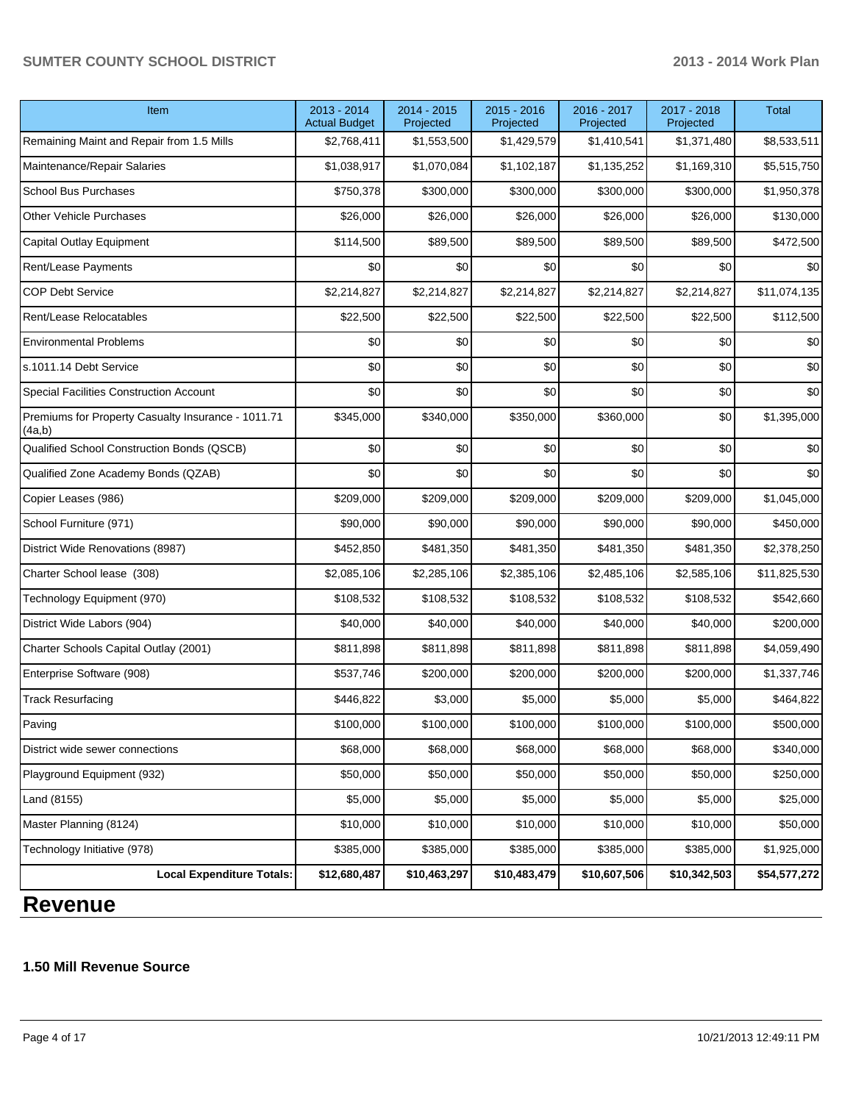## **SUMTER COUNTY SCHOOL DISTRICT 2013 - 2014 Work Plan**

| Item                                                         | 2013 - 2014<br><b>Actual Budget</b> | 2014 - 2015<br>Projected | $2015 - 2016$<br>Projected | 2016 - 2017<br>Projected | 2017 - 2018<br>Projected | <b>Total</b> |
|--------------------------------------------------------------|-------------------------------------|--------------------------|----------------------------|--------------------------|--------------------------|--------------|
| Remaining Maint and Repair from 1.5 Mills                    | \$2,768,411                         | \$1,553,500              | \$1,429,579                | \$1,410,541              | \$1,371,480              | \$8,533,511  |
| Maintenance/Repair Salaries                                  | \$1,038,917                         | \$1,070,084              | \$1,102,187                | \$1,135,252              | \$1,169,310              | \$5,515,750  |
| <b>School Bus Purchases</b>                                  | \$750,378                           | \$300,000                | \$300,000                  | \$300,000                | \$300,000                | \$1,950,378  |
| <b>Other Vehicle Purchases</b>                               | \$26,000                            | \$26,000                 | \$26,000                   | \$26,000                 | \$26,000                 | \$130,000    |
| Capital Outlay Equipment                                     | \$114,500                           | \$89,500                 | \$89,500                   | \$89,500                 | \$89,500                 | \$472,500    |
| Rent/Lease Payments                                          | \$0                                 | \$0                      | \$0                        | \$0                      | \$0                      | \$0          |
| <b>COP Debt Service</b>                                      | \$2,214,827                         | \$2,214,827              | \$2,214,827                | \$2,214,827              | \$2,214,827              | \$11,074,135 |
| Rent/Lease Relocatables                                      | \$22,500                            | \$22,500                 | \$22,500                   | \$22,500                 | \$22,500                 | \$112,500    |
| <b>Environmental Problems</b>                                | \$0                                 | \$0                      | \$0                        | \$0                      | \$0                      | \$0          |
| s.1011.14 Debt Service                                       | \$0                                 | \$0                      | \$0                        | \$0                      | \$0                      | \$0          |
| Special Facilities Construction Account                      | \$0                                 | \$0                      | \$0                        | \$0                      | \$0                      | \$0          |
| Premiums for Property Casualty Insurance - 1011.71<br>(4a,b) | \$345,000                           | \$340,000                | \$350,000                  | \$360,000                | \$0                      | \$1,395,000  |
| Qualified School Construction Bonds (QSCB)                   | \$0                                 | \$0                      | \$0                        | \$0                      | \$0                      | \$0          |
| Qualified Zone Academy Bonds (QZAB)                          | \$0                                 | \$0                      | \$0                        | \$0                      | \$0                      | \$0          |
| Copier Leases (986)                                          | \$209,000                           | \$209,000                | \$209,000                  | \$209,000                | \$209,000                | \$1,045,000  |
| School Furniture (971)                                       | \$90,000                            | \$90,000                 | \$90,000                   | \$90,000                 | \$90,000                 | \$450,000    |
| District Wide Renovations (8987)                             | \$452,850                           | \$481,350                | \$481,350                  | \$481,350                | \$481,350                | \$2,378,250  |
| Charter School lease (308)                                   | \$2,085,106                         | \$2,285,106              | \$2,385,106                | \$2,485,106              | \$2,585,106              | \$11,825,530 |
| Technology Equipment (970)                                   | \$108,532                           | \$108,532                | \$108,532                  | \$108,532                | \$108,532                | \$542,660    |
| District Wide Labors (904)                                   | \$40,000                            | \$40,000                 | \$40,000                   | \$40,000                 | \$40,000                 | \$200,000    |
| Charter Schools Capital Outlay (2001)                        | \$811,898                           | \$811,898                | \$811,898                  | \$811,898                | \$811,898                | \$4,059,490  |
| Enterprise Software (908)                                    | \$537,746                           | \$200,000                | \$200,000                  | \$200,000                | \$200,000                | \$1,337,746  |
| <b>Track Resurfacing</b>                                     | \$446,822                           | \$3,000                  | \$5,000                    | \$5,000                  | \$5,000                  | \$464,822    |
| Paving                                                       | \$100,000                           | \$100,000                | \$100,000                  | \$100,000                | \$100,000                | \$500,000    |
| District wide sewer connections                              | \$68,000                            | \$68,000                 | \$68,000                   | \$68,000                 | \$68,000                 | \$340,000    |
| Playground Equipment (932)                                   | \$50,000                            | \$50,000                 | \$50,000                   | \$50,000                 | \$50,000                 | \$250,000    |
| Land (8155)                                                  | \$5,000                             | \$5,000                  | \$5,000                    | \$5,000                  | \$5,000                  | \$25,000     |
| Master Planning (8124)                                       | \$10,000                            | \$10,000                 | \$10,000                   | \$10,000                 | \$10,000                 | \$50,000     |
| Technology Initiative (978)                                  | \$385,000                           | \$385,000                | \$385,000                  | \$385,000                | \$385,000                | \$1,925,000  |
| <b>Local Expenditure Totals:</b>                             | \$12,680,487                        | \$10,463,297             | \$10,483,479               | \$10,607,506             | \$10,342,503             | \$54,577,272 |

# **Revenue**

## **1.50 Mill Revenue Source**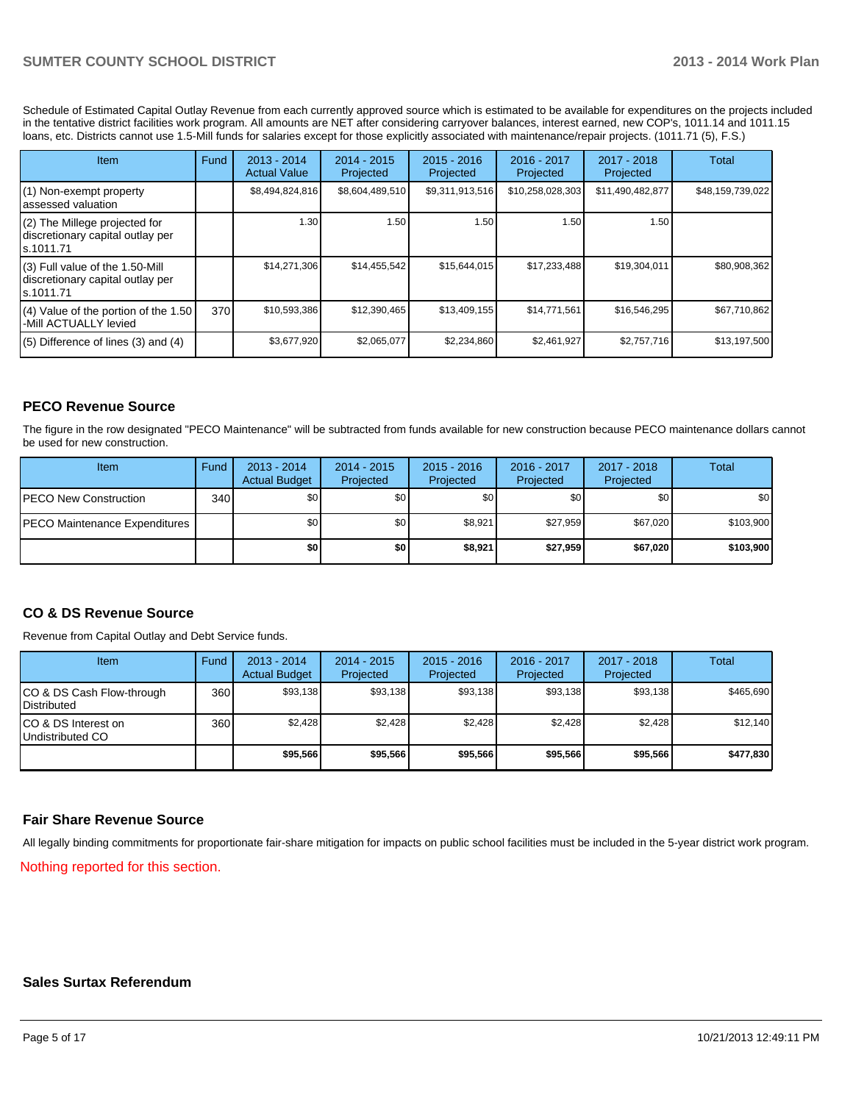Schedule of Estimated Capital Outlay Revenue from each currently approved source which is estimated to be available for expenditures on the projects included in the tentative district facilities work program. All amounts are NET after considering carryover balances, interest earned, new COP's, 1011.14 and 1011.15 loans, etc. Districts cannot use 1.5-Mill funds for salaries except for those explicitly associated with maintenance/repair projects. (1011.71 (5), F.S.)

| <b>Item</b>                                                                         | Fund | $2013 - 2014$<br><b>Actual Value</b> | $2014 - 2015$<br>Projected | $2015 - 2016$<br>Projected | $2016 - 2017$<br>Projected | $2017 - 2018$<br>Projected | Total            |
|-------------------------------------------------------------------------------------|------|--------------------------------------|----------------------------|----------------------------|----------------------------|----------------------------|------------------|
| $(1)$ Non-exempt property<br>lassessed valuation                                    |      | \$8,494,824,816                      | \$8,604,489,510            | \$9,311,913,516            | \$10,258,028,303           | \$11,490,482,877           | \$48,159,739,022 |
| $(2)$ The Millege projected for<br>discretionary capital outlay per<br>ls.1011.71   |      | 1.30                                 | 1.50                       | 1.50                       | 1.50                       | 1.50                       |                  |
| $(3)$ Full value of the 1.50-Mill<br>discretionary capital outlay per<br>ls.1011.71 |      | \$14,271,306                         | \$14,455,542               | \$15,644,015               | \$17,233,488               | \$19,304,011               | \$80,908,362     |
| $(4)$ Value of the portion of the 1.50<br>I-Mill ACTUALLY levied                    | 370  | \$10,593,386                         | \$12,390,465               | \$13,409,155               | \$14,771,561               | \$16.546.295               | \$67,710,862     |
| $(5)$ Difference of lines $(3)$ and $(4)$                                           |      | \$3,677,920                          | \$2,065,077                | \$2,234,860                | \$2,461,927                | \$2,757,716                | \$13,197,500     |

## **PECO Revenue Source**

The figure in the row designated "PECO Maintenance" will be subtracted from funds available for new construction because PECO maintenance dollars cannot be used for new construction.

| Item                                  | Fund | $2013 - 2014$<br><b>Actual Budget</b> | $2014 - 2015$<br>Projected | $2015 - 2016$<br>Projected | 2016 - 2017<br>Projected | 2017 - 2018<br>Projected | Total     |
|---------------------------------------|------|---------------------------------------|----------------------------|----------------------------|--------------------------|--------------------------|-----------|
| <b>IPECO New Construction</b>         | 340  | \$0 <sub>1</sub>                      | \$0 <sub>1</sub>           | \$0                        | \$0 <sub>1</sub>         | \$0                      | \$0       |
| <b>IPECO Maintenance Expenditures</b> |      | \$0 <sub>1</sub>                      | \$0                        | \$8,921                    | \$27.959                 | \$67,020                 | \$103,900 |
|                                       |      | \$0                                   | \$0                        | \$8,921                    | \$27,959                 | \$67,020                 | \$103,900 |

### **CO & DS Revenue Source**

Revenue from Capital Outlay and Debt Service funds.

| Item                                              | Fund | 2013 - 2014<br><b>Actual Budget</b> | $2014 - 2015$<br>Projected | $2015 - 2016$<br>Projected | $2016 - 2017$<br>Projected | $2017 - 2018$<br>Projected | Total     |
|---------------------------------------------------|------|-------------------------------------|----------------------------|----------------------------|----------------------------|----------------------------|-----------|
| CO & DS Cash Flow-through<br><b>I</b> Distributed | 360  | \$93,138                            | \$93,138                   | \$93,138                   | \$93,138                   | \$93,138                   | \$465,690 |
| ICO & DS Interest on<br>Undistributed CO          | 360  | \$2,428                             | \$2,428                    | \$2,428                    | \$2.428                    | \$2,428                    | \$12,140  |
|                                                   |      | \$95,566                            | \$95,566                   | \$95,566                   | \$95,566                   | \$95,566                   | \$477,830 |

### **Fair Share Revenue Source**

All legally binding commitments for proportionate fair-share mitigation for impacts on public school facilities must be included in the 5-year district work program.

Nothing reported for this section.

#### **Sales Surtax Referendum**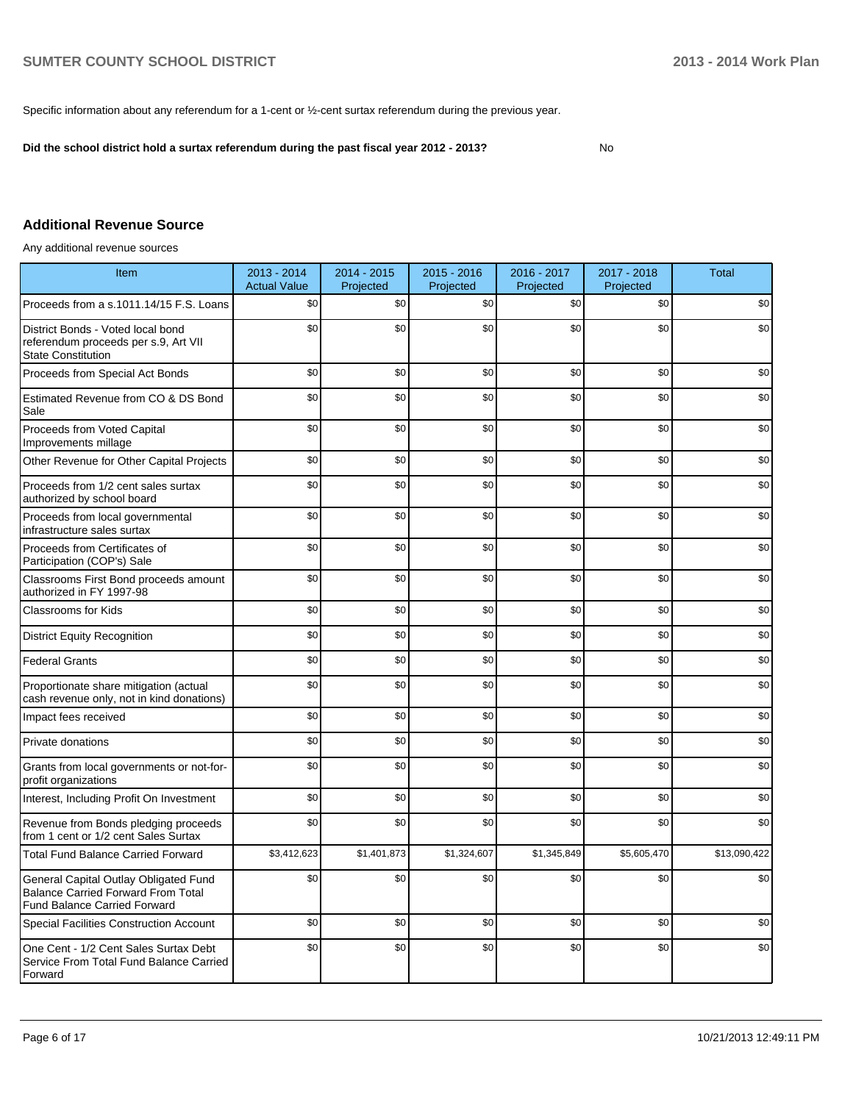Specific information about any referendum for a 1-cent or ½-cent surtax referendum during the previous year.

**Did the school district hold a surtax referendum during the past fiscal year 2012 - 2013?**

No

## **Additional Revenue Source**

Any additional revenue sources

| Item                                                                                                                      | 2013 - 2014<br><b>Actual Value</b> | 2014 - 2015<br>Projected | $2015 - 2016$<br>Projected | 2016 - 2017<br>Projected | 2017 - 2018<br>Projected | <b>Total</b> |
|---------------------------------------------------------------------------------------------------------------------------|------------------------------------|--------------------------|----------------------------|--------------------------|--------------------------|--------------|
| Proceeds from a s.1011.14/15 F.S. Loans                                                                                   | \$0                                | \$0                      | \$0                        | \$0                      | \$0                      | \$0          |
| District Bonds - Voted local bond<br>referendum proceeds per s.9, Art VII<br><b>State Constitution</b>                    | \$0                                | \$0                      | \$0                        | \$0                      | \$0                      | \$0          |
| Proceeds from Special Act Bonds                                                                                           | \$0                                | \$0                      | \$0                        | \$0                      | \$0                      | \$0          |
| Estimated Revenue from CO & DS Bond<br>Sale                                                                               | \$0                                | \$0                      | \$0                        | \$0                      | \$0                      | \$0          |
| Proceeds from Voted Capital<br>Improvements millage                                                                       | \$0                                | \$0                      | \$0                        | \$0                      | \$0                      | \$0          |
| Other Revenue for Other Capital Projects                                                                                  | \$0                                | \$0                      | \$0                        | \$0                      | \$0                      | \$0          |
| Proceeds from 1/2 cent sales surtax<br>authorized by school board                                                         | \$0                                | \$0                      | \$0                        | \$0                      | \$0                      | \$0          |
| Proceeds from local governmental<br>infrastructure sales surtax                                                           | \$0                                | \$0                      | \$0                        | \$0                      | \$0                      | \$0          |
| Proceeds from Certificates of<br>Participation (COP's) Sale                                                               | \$0                                | \$0                      | \$0                        | \$0                      | \$0                      | \$0          |
| Classrooms First Bond proceeds amount<br>authorized in FY 1997-98                                                         | \$0                                | \$0                      | \$0                        | \$0                      | \$0                      | \$0          |
| Classrooms for Kids                                                                                                       | \$0                                | \$0                      | \$0                        | \$0                      | \$0                      | \$0          |
| <b>District Equity Recognition</b>                                                                                        | \$0                                | \$0                      | \$0                        | \$0                      | \$0                      | \$0          |
| <b>Federal Grants</b>                                                                                                     | \$0                                | \$0                      | \$0                        | \$0                      | \$0                      | \$0          |
| Proportionate share mitigation (actual<br>cash revenue only, not in kind donations)                                       | \$0                                | \$0                      | \$0                        | \$0                      | \$0                      | \$0          |
| Impact fees received                                                                                                      | \$0                                | \$0                      | \$0                        | \$0                      | \$0                      | \$0          |
| Private donations                                                                                                         | \$0                                | \$0                      | \$0                        | \$0                      | \$0                      | \$0          |
| Grants from local governments or not-for-<br>profit organizations                                                         | \$0                                | \$0                      | \$0                        | \$0                      | \$0                      | \$0          |
| Interest, Including Profit On Investment                                                                                  | \$0                                | \$0                      | \$0                        | \$0                      | \$0                      | \$0          |
| Revenue from Bonds pledging proceeds<br>from 1 cent or 1/2 cent Sales Surtax                                              | \$0                                | \$0                      | \$0                        | \$0                      | \$0                      | \$0          |
| <b>Total Fund Balance Carried Forward</b>                                                                                 | \$3,412,623                        | \$1,401,873              | \$1,324,607                | \$1,345,849              | \$5,605,470              | \$13,090,422 |
| General Capital Outlay Obligated Fund<br><b>Balance Carried Forward From Total</b><br><b>Fund Balance Carried Forward</b> | \$0                                | \$0                      | \$0                        | \$0                      | \$0                      | \$0          |
| Special Facilities Construction Account                                                                                   | \$0                                | \$0                      | \$0                        | \$0                      | \$0                      | \$0          |
| One Cent - 1/2 Cent Sales Surtax Debt<br>Service From Total Fund Balance Carried<br>Forward                               | \$0                                | \$0                      | \$0                        | \$0                      | \$0                      | \$0          |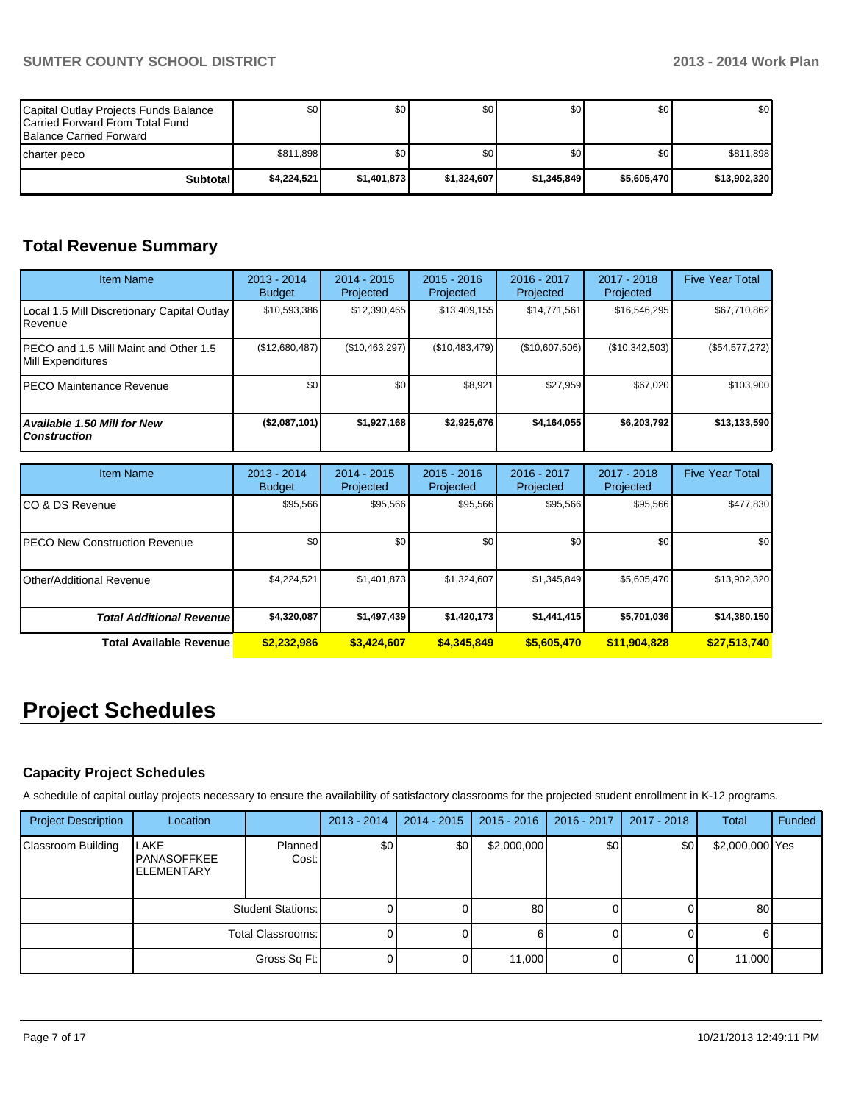| Capital Outlay Projects Funds Balance<br>Carried Forward From Total Fund<br><b>Balance Carried Forward</b> | \$0 <sub>1</sub> | \$0         | \$0         | \$0 <sub>1</sub> | \$0 I       | \$0          |
|------------------------------------------------------------------------------------------------------------|------------------|-------------|-------------|------------------|-------------|--------------|
| Icharter peco                                                                                              | \$811.898        | \$0         | \$0         | \$0              | \$0         | \$811,898    |
| Subtotal                                                                                                   | \$4.224.521      | \$1,401,873 | \$1.324.607 | \$1.345.849      | \$5,605,470 | \$13,902,320 |

# **Total Revenue Summary**

| <b>Item Name</b>                                                  | $2013 - 2014$<br><b>Budget</b> | 2014 - 2015<br>Projected   | $2015 - 2016$<br>Projected | 2016 - 2017<br>Projected   | 2017 - 2018<br>Projected | <b>Five Year Total</b> |
|-------------------------------------------------------------------|--------------------------------|----------------------------|----------------------------|----------------------------|--------------------------|------------------------|
| Local 1.5 Mill Discretionary Capital Outlay<br>Revenue            | \$10,593,386                   | \$12,390,465               | \$13,409,155               | \$14,771,561               | \$16,546,295             | \$67,710,862           |
| PECO and 1.5 Mill Maint and Other 1.5<br><b>Mill Expenditures</b> | (\$12,680,487)                 | (\$10,463,297)             | (\$10,483,479)             | (\$10,607,506)             | (\$10,342,503)           | (\$54,577,272)         |
| PECO Maintenance Revenue                                          | \$0                            | \$0                        | \$8.921                    | \$27,959                   | \$67.020                 | \$103,900              |
| Available 1.50 Mill for New<br><b>Construction</b>                | (\$2,087,101)                  | \$1,927,168                | \$2,925,676                | \$4,164,055                | \$6,203,792              | \$13,133,590           |
|                                                                   |                                |                            |                            |                            |                          |                        |
| <b>Item Name</b>                                                  | $2013 - 2014$<br><b>Budget</b> | $2014 - 2015$<br>Projected | $2015 - 2016$<br>Projected | $2016 - 2017$<br>Projected | 2017 - 2018<br>Projected | <b>Five Year Total</b> |
| CO & DS Revenue                                                   | \$95,566                       | \$95,566                   | \$95,566                   | \$95,566                   | \$95,566                 | \$477,830              |
| <b>PECO New Construction Revenue</b>                              | \$0                            | \$0                        | \$0                        | \$0                        | \$0                      | \$0                    |
|                                                                   |                                |                            |                            |                            |                          |                        |
| Other/Additional Revenue                                          | \$4,224,521                    | \$1,401,873                | \$1,324,607                | \$1,345,849                | \$5,605,470              | \$13,902,320           |
| <b>Total Additional Revenue</b>                                   | \$4,320,087                    | \$1,497,439                | \$1,420,173                | \$1,441,415                | \$5,701,036              | \$14,380,150           |

# **Project Schedules**

## **Capacity Project Schedules**

A schedule of capital outlay projects necessary to ensure the availability of satisfactory classrooms for the projected student enrollment in K-12 programs.

| <b>Project Description</b> | Location                                        |                  | $2013 - 2014$ | $2014 - 2015$ | $2015 - 2016$ | 2016 - 2017 | 2017 - 2018 | <b>Total</b>    | Funded |
|----------------------------|-------------------------------------------------|------------------|---------------|---------------|---------------|-------------|-------------|-----------------|--------|
| Classroom Building         | LAKE<br><b>PANASOFFKEE</b><br><b>ELEMENTARY</b> | Planned<br>Cost: | \$0           | \$0           | \$2,000,000   | \$0         | \$0         | \$2,000,000 Yes |        |
|                            | Student Stations: I                             |                  |               |               | 80            |             |             | 80              |        |
|                            | Total Classrooms: I                             |                  |               |               |               |             |             |                 |        |
|                            | Gross Sq Ft:                                    |                  |               |               | 11,000        |             |             | 11,000          |        |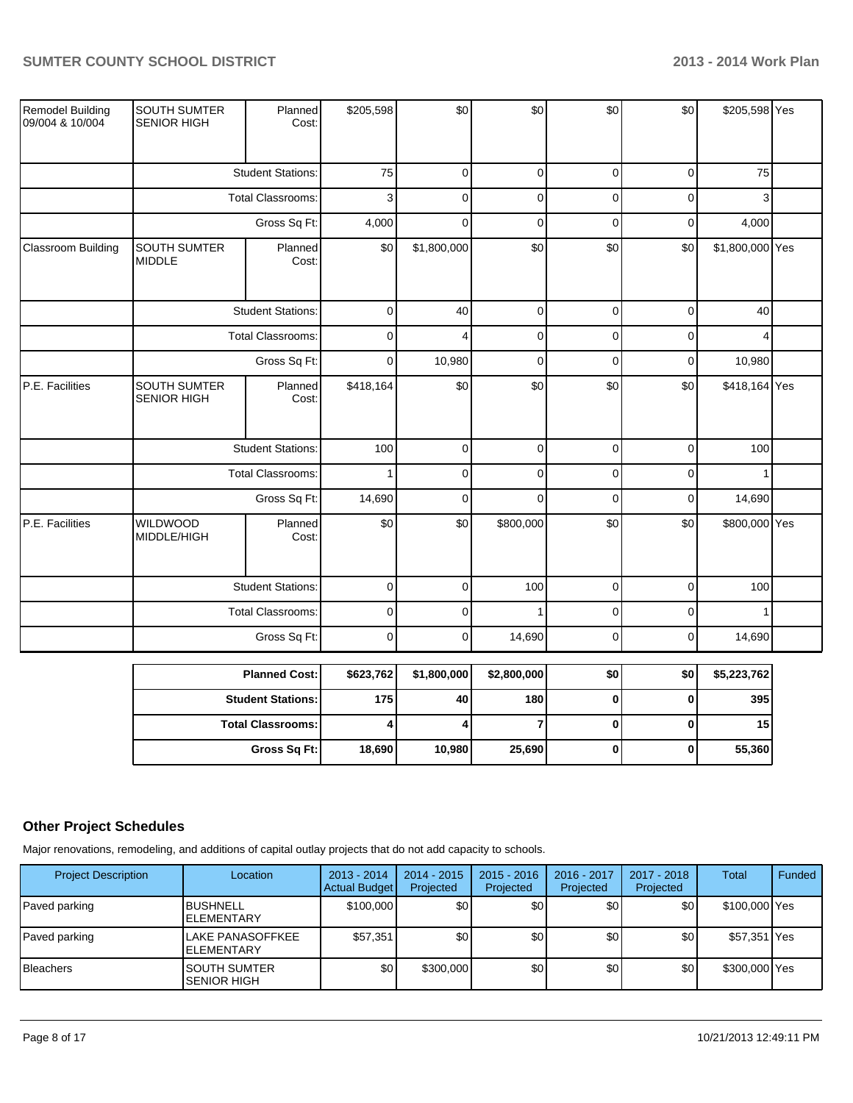|                                     |                                           | <b>Student Stations:</b> | 175            | 40             | 180            | $\mathbf 0$ | $\mathbf 0$ | 395             |  |
|-------------------------------------|-------------------------------------------|--------------------------|----------------|----------------|----------------|-------------|-------------|-----------------|--|
|                                     |                                           | <b>Planned Cost:</b>     | \$623,762      | \$1,800,000    | \$2,800,000    | \$0         | \$0         | \$5,223,762     |  |
|                                     |                                           | Gross Sq Ft:             | $\mathbf 0$    | $\overline{0}$ | 14,690         | $\pmb{0}$   | $\pmb{0}$   | 14,690          |  |
|                                     | <b>Total Classrooms:</b>                  |                          | $\mathbf 0$    | $\Omega$       |                | $\mathbf 0$ | $\mathbf 0$ |                 |  |
|                                     |                                           | <b>Student Stations:</b> | $\mathbf 0$    | $\overline{0}$ | 100            | $\mathbf 0$ | $\mathbf 0$ | 100             |  |
| P.E. Facilities                     | <b>WILDWOOD</b><br>MIDDLE/HIGH            | Planned<br>Cost:         | \$0            | \$0            | \$800,000      | \$0         | \$0         | \$800,000 Yes   |  |
|                                     |                                           | Gross Sq Ft:             | 14,690         | $\Omega$       | $\Omega$       | $\Omega$    | $\Omega$    | 14,690          |  |
|                                     |                                           | <b>Total Classrooms:</b> | $\mathbf{1}$   | $\mathbf 0$    | $\overline{0}$ | $\mathbf 0$ | $\mathbf 0$ | $\mathbf{1}$    |  |
|                                     |                                           | <b>Student Stations:</b> | 100            | $\overline{0}$ | $\overline{0}$ | $\mathbf 0$ | $\mathbf 0$ | 100             |  |
| P.E. Facilities                     | <b>SOUTH SUMTER</b><br><b>SENIOR HIGH</b> | Planned<br>Cost:         | \$418,164      | \$0            | \$0            | \$0         | \$0         | \$418,164 Yes   |  |
|                                     |                                           | Gross Sq Ft:             | $\overline{0}$ | 10,980         | $\mathbf 0$    | $\mathbf 0$ | $\mathbf 0$ | 10,980          |  |
|                                     |                                           | <b>Total Classrooms:</b> | $\mathbf 0$    | 4              | $\overline{0}$ | $\Omega$    | $\mathbf 0$ | 4               |  |
|                                     |                                           | <b>Student Stations:</b> | $\mathbf 0$    | 40             | $\overline{0}$ | $\mathbf 0$ | $\mathbf 0$ | 40              |  |
| Classroom Building                  | <b>SOUTH SUMTER</b><br><b>MIDDLE</b>      | Planned<br>Cost:         | \$0            | \$1,800,000    | \$0            | \$0         | \$0         | \$1,800,000 Yes |  |
|                                     |                                           | Gross Sq Ft:             | 4,000          | $\mathbf 0$    | $\mathbf 0$    | $\mathbf 0$ | $\mathbf 0$ | 4,000           |  |
|                                     |                                           | <b>Total Classrooms:</b> | 3              | $\Omega$       | $\mathbf 0$    | $\Omega$    | $\mathbf 0$ | 3               |  |
|                                     | <b>Student Stations:</b>                  |                          | 75             | $\overline{0}$ | $\overline{0}$ | $\mathbf 0$ | $\mathbf 0$ | 75              |  |
| Remodel Building<br>09/004 & 10/004 | <b>SOUTH SUMTER</b><br><b>SENIOR HIGH</b> | Planned<br>Cost:         | \$205,598      | \$0            | \$0            | \$0         | \$0         | \$205,598 Yes   |  |

| <b>Planned Cost:</b>       | \$623,762] | \$1,800,000 | \$2,800,000 | \$0 | \$0 | \$5,223,762 |
|----------------------------|------------|-------------|-------------|-----|-----|-------------|
| <b>Student Stations: I</b> | 175 l      | 40          | 180         |     |     | 395         |
| <b>Total Classrooms:</b>   |            |             |             |     |     | 15          |
| Gross Sq Ft:               | 18,690     | 10.980      | 25,690      |     |     | 55,360      |

# **Other Project Schedules**

Major renovations, remodeling, and additions of capital outlay projects that do not add capacity to schools.

| <b>Project Description</b> | Location                                     | $2013 - 2014$<br><b>Actual Budget</b> | $2014 - 2015$<br>Projected | $2015 - 2016$<br>Projected | 2016 - 2017<br>Projected | 2017 - 2018<br>Projected | Total         | Funded |
|----------------------------|----------------------------------------------|---------------------------------------|----------------------------|----------------------------|--------------------------|--------------------------|---------------|--------|
| Paved parking              | <b>BUSHNELL</b><br><b>ELEMENTARY</b>         | \$100,000                             | \$0                        | \$0                        | \$٥١                     | \$0                      | \$100,000 Yes |        |
| Paved parking              | <b>LAKE PANASOFFKEE</b><br><b>ELEMENTARY</b> | \$57,351                              | \$0                        | \$0                        | ا 30                     | \$0                      | \$57,351 Yes  |        |
| <b>Bleachers</b>           | <b>SOUTH SUMTER</b><br><b>SENIOR HIGH</b>    | \$0                                   | \$300,000                  | \$0                        | \$0                      | \$0                      | \$300,000 Yes |        |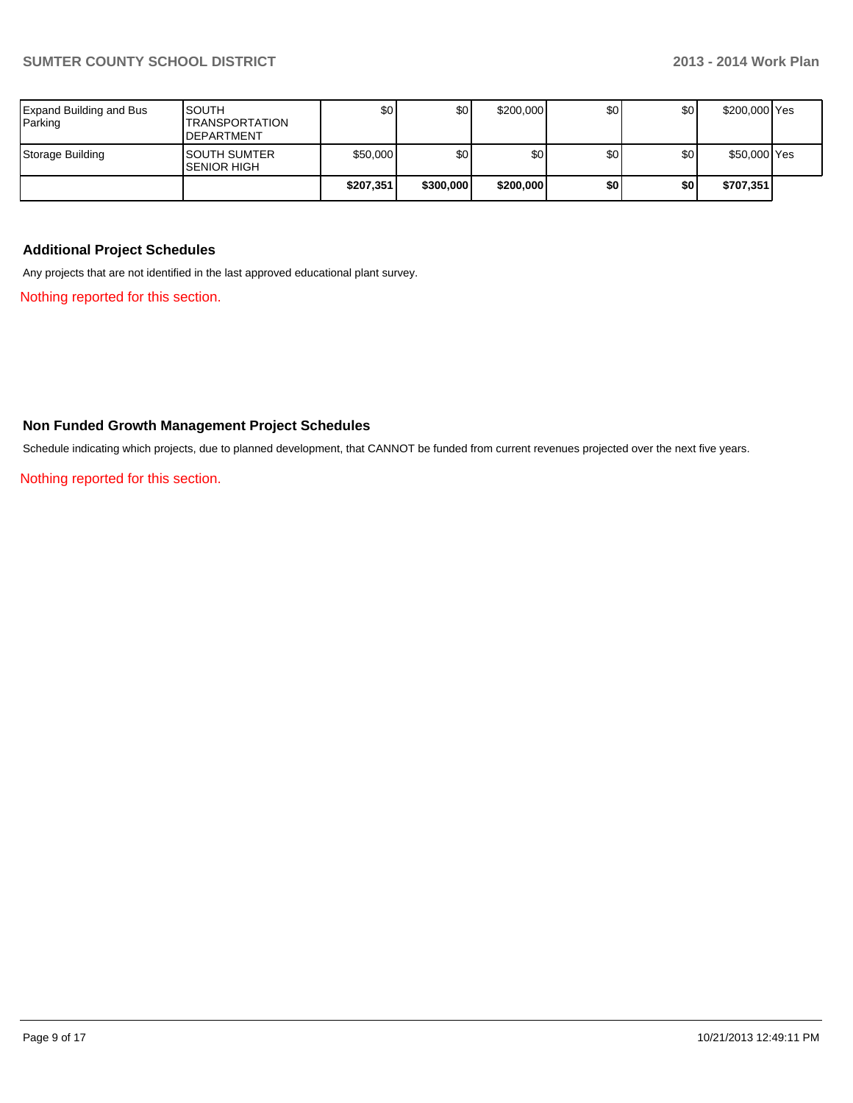| Expand Building and Bus<br>Parking | <b>SOUTH</b><br><b>ITRANSPORTATION</b><br><b>IDEPARTMENT</b> | \$٥Ι      | \$0       | \$200,000 | \$0 | \$0 | \$200,000 Yes |  |
|------------------------------------|--------------------------------------------------------------|-----------|-----------|-----------|-----|-----|---------------|--|
| Storage Building                   | ISOUTH SUMTER<br><b>SENIOR HIGH</b>                          | \$50,000  | \$0       | \$0       | \$0 | \$0 | \$50,000 Yes  |  |
|                                    |                                                              | \$207,351 | \$300,000 | \$200,000 | \$0 | \$0 | \$707,351     |  |

## **Additional Project Schedules**

Any projects that are not identified in the last approved educational plant survey.

Nothing reported for this section.

### **Non Funded Growth Management Project Schedules**

Schedule indicating which projects, due to planned development, that CANNOT be funded from current revenues projected over the next five years.

Nothing reported for this section.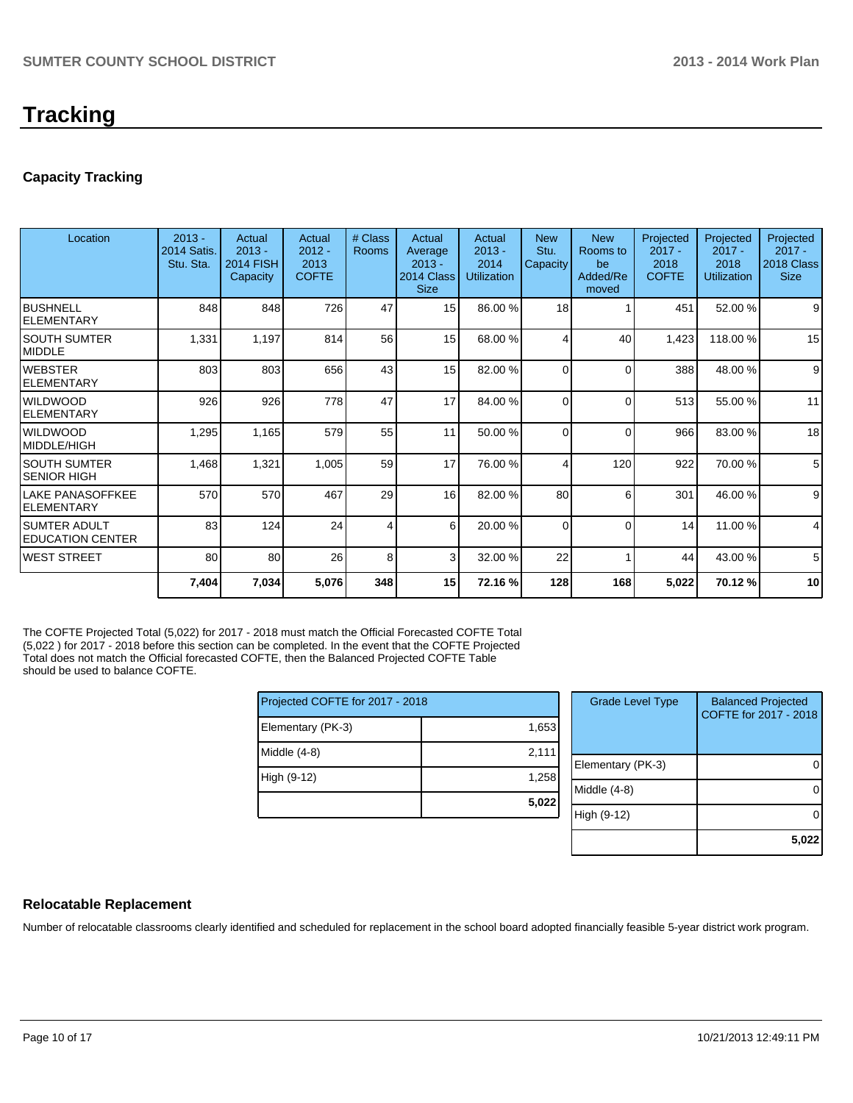# **Tracking**

## **Capacity Tracking**

| Location                                  | $2013 -$<br><b>2014 Satis</b><br>Stu. Sta. | Actual<br>$2013 -$<br><b>2014 FISH</b><br>Capacity | Actual<br>$2012 -$<br>2013<br><b>COFTE</b> | # Class<br><b>Rooms</b> | Actual<br>Average<br>$2013 -$<br>2014 Class<br><b>Size</b> | Actual<br>$2013 -$<br>2014<br><b>Utilization</b> | <b>New</b><br>Stu.<br>Capacity | <b>New</b><br>Rooms to<br>be<br>Added/Re<br>moved | Projected<br>$2017 -$<br>2018<br><b>COFTE</b> | Projected<br>$2017 -$<br>2018<br><b>Utilization</b> | Projected<br>$2017 -$<br>2018 Class<br><b>Size</b> |
|-------------------------------------------|--------------------------------------------|----------------------------------------------------|--------------------------------------------|-------------------------|------------------------------------------------------------|--------------------------------------------------|--------------------------------|---------------------------------------------------|-----------------------------------------------|-----------------------------------------------------|----------------------------------------------------|
| Ibushnell<br>IELEMENTARY                  | 848                                        | 848                                                | 726                                        | 47                      | 15                                                         | 86.00 %                                          | 18                             |                                                   | 451                                           | 52.00 %                                             | 9                                                  |
| ISOUTH SUMTER<br><b>IMIDDLE</b>           | 1,331                                      | 1,197                                              | 814                                        | 56                      | 15                                                         | 68.00 %                                          |                                | 40                                                | 1,423                                         | 118.00%                                             | 15                                                 |
| IWEBSTER<br><b>IELEMENTARY</b>            | 803                                        | 803                                                | 656                                        | 43                      | 15                                                         | 82.00 %                                          | $\Omega$                       | $\Omega$                                          | 388                                           | 48.00 %                                             | 9                                                  |
| iwildwood<br><b>IELEMENTARY</b>           | 926                                        | 926                                                | 778                                        | 47                      | 17                                                         | 84.00 %                                          | $\Omega$                       | $\Omega$                                          | 513                                           | 55.00 %                                             | 11                                                 |
| <b>I</b> WILDWOOD<br>MIDDLE/HIGH          | 1,295                                      | 1,165                                              | 579                                        | 55                      | 11                                                         | 50.00 %                                          | $\Omega$                       | $\Omega$                                          | 966                                           | 83.00 %                                             | 18                                                 |
| ISOUTH SUMTER<br>ISENIOR HIGH             | 1,468                                      | 1,321                                              | 1,005                                      | 59                      | 17                                                         | 76.00 %                                          |                                | 120                                               | 922                                           | 70.00 %                                             | 5                                                  |
| llake panasoffkee<br><b>IELEMENTARY</b>   | 570                                        | 570                                                | 467                                        | 29                      | 16                                                         | 82.00 %                                          | 80                             | 6                                                 | 301                                           | 46.00 %                                             | 9                                                  |
| ISUMTER ADULT<br><b>IEDUCATION CENTER</b> | 83                                         | 124                                                | 24                                         | 4                       | $6 \mid$                                                   | 20.00 %                                          | $\Omega$                       | $\Omega$                                          | 14                                            | 11.00 %                                             | 4                                                  |
| WEST STREET                               | 80                                         | 80                                                 | 26                                         | 8                       | $\overline{3}$                                             | 32.00 %                                          | 22                             |                                                   | 44                                            | 43.00 %                                             | 5                                                  |
|                                           | 7,404                                      | 7,034                                              | 5,076                                      | 348                     | 15                                                         | 72.16 %                                          | 128                            | 168                                               | 5,022                                         | 70.12 %                                             | 10                                                 |

The COFTE Projected Total (5,022) for 2017 - 2018 must match the Official Forecasted COFTE Total (5,022 ) for 2017 - 2018 before this section can be completed. In the event that the COFTE Projected Total does not match the Official forecasted COFTE, then the Balanced Projected COFTE Table should be used to balance COFTE.

| Projected COFTE for 2017 - 2018 |       | <b>Grade Level Type</b> | <b>Balanced Projected</b><br>COFTE for 2017 - 2018 |
|---------------------------------|-------|-------------------------|----------------------------------------------------|
| Elementary (PK-3)               | 1,653 |                         |                                                    |
| Middle (4-8)                    | 2,111 |                         |                                                    |
| High (9-12)                     | 1,258 | Elementary (PK-3)       | $\Omega$                                           |
|                                 |       | Middle (4-8)            | $\Omega$                                           |
|                                 | 5,022 | High (9-12)             | $\Omega$                                           |
|                                 |       |                         |                                                    |
|                                 |       |                         | 5,022                                              |

### **Relocatable Replacement**

Number of relocatable classrooms clearly identified and scheduled for replacement in the school board adopted financially feasible 5-year district work program.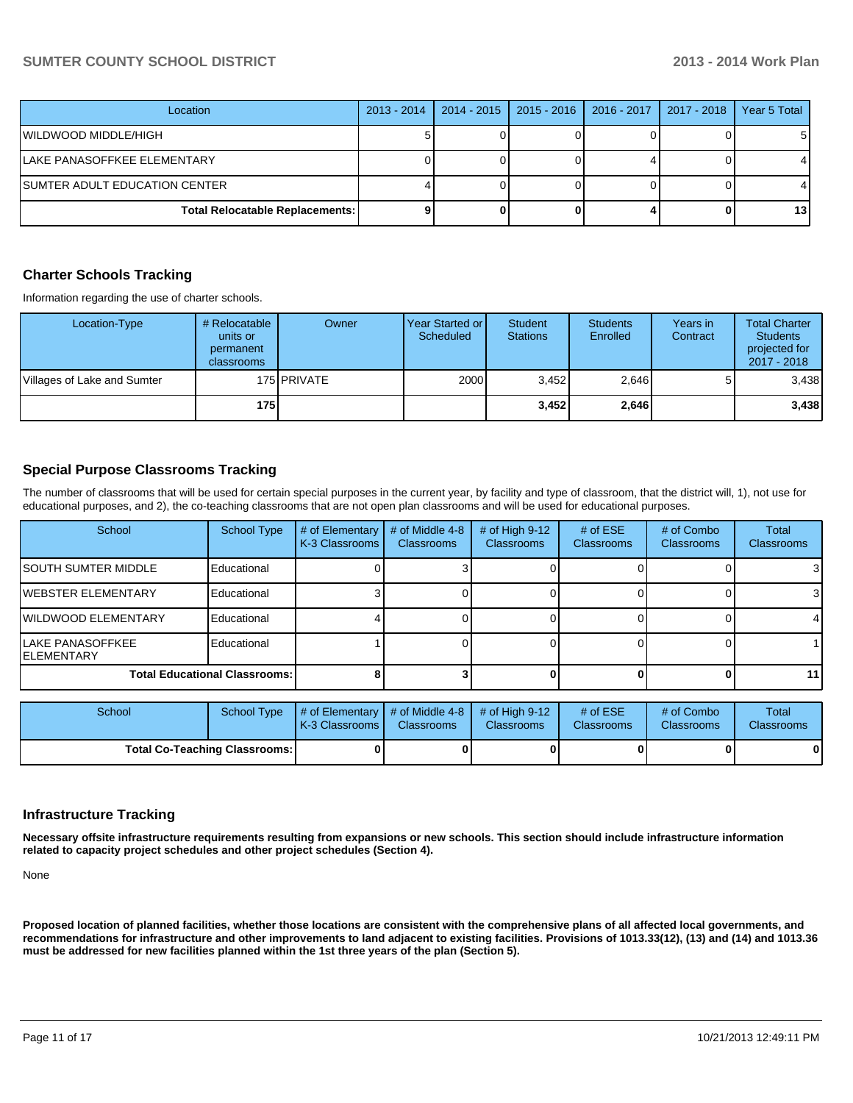### **SUMTER COUNTY SCHOOL DISTRICT 2013 - 2014 Work Plan**

| Location                                 | $2013 - 2014$ | $2014 - 2015$ | $2015 - 2016$ | $2016 - 2017$ | $2017 - 2018$ | Year 5 Total |
|------------------------------------------|---------------|---------------|---------------|---------------|---------------|--------------|
| WILDWOOD MIDDLE/HIGH                     |               |               |               |               |               | 51           |
| LAKE PANASOFFKEE ELEMENTARY              |               |               |               |               |               |              |
| SUMTER ADULT EDUCATION CENTER            |               |               |               |               |               |              |
| <b>Total Relocatable Replacements: I</b> |               |               |               |               |               | 13 I         |

### **Charter Schools Tracking**

Information regarding the use of charter schools.

| Location-Type               | # Relocatable<br>units or<br>permanent<br>classrooms | Owner       | Year Started or<br>Scheduled | <b>Student</b><br><b>Stations</b> | <b>Students</b><br>Enrolled | Years in<br>Contract | <b>Total Charter</b><br><b>Students</b><br>projected for<br>2017 - 2018 |
|-----------------------------|------------------------------------------------------|-------------|------------------------------|-----------------------------------|-----------------------------|----------------------|-------------------------------------------------------------------------|
| Villages of Lake and Sumter |                                                      | 175 PRIVATE | 2000                         | 3.452                             | 2,646                       |                      | 3.438                                                                   |
|                             | 175 l                                                |             |                              | 3,452                             | 2,646                       |                      | 3,438                                                                   |

### **Special Purpose Classrooms Tracking**

The number of classrooms that will be used for certain special purposes in the current year, by facility and type of classroom, that the district will, 1), not use for educational purposes, and 2), the co-teaching classrooms that are not open plan classrooms and will be used for educational purposes.

| School                                  | <b>School Type</b>                   | # of Elementary<br>K-3 Classrooms | # of Middle 4-8<br><b>Classrooms</b> | # of High $9-12$<br><b>Classrooms</b> | # of $ESE$<br><b>Classrooms</b> | # of Combo<br><b>Classrooms</b> | <b>Total</b><br><b>Classrooms</b> |
|-----------------------------------------|--------------------------------------|-----------------------------------|--------------------------------------|---------------------------------------|---------------------------------|---------------------------------|-----------------------------------|
| <b>ISOUTH SUMTER MIDDLE</b>             | Educational                          |                                   |                                      |                                       |                                 |                                 | 3                                 |
| <b>IWEBSTER ELEMENTARY</b>              | Educational                          |                                   |                                      |                                       |                                 |                                 | 3                                 |
| <b>IWILDWOOD ELEMENTARY</b>             | Educational                          |                                   |                                      |                                       |                                 |                                 | 4                                 |
| lLAKE PANASOFFKEE<br><b>IELEMENTARY</b> | Educational                          |                                   |                                      |                                       |                                 |                                 |                                   |
|                                         | <b>Total Educational Classrooms:</b> |                                   |                                      |                                       |                                 |                                 | 11                                |

| School                               | School Type | $\parallel$ # of Elementary $\parallel$ # of Middle 4-8 $\parallel$ # of High 9-12<br>K-3 Classrooms I | <b>Classrooms</b> | <b>Classrooms</b> | # of $ESE$<br><b>Classrooms</b> | # of Combo<br><b>Classrooms</b> | Total<br><b>Classrooms</b> |
|--------------------------------------|-------------|--------------------------------------------------------------------------------------------------------|-------------------|-------------------|---------------------------------|---------------------------------|----------------------------|
| <b>Total Co-Teaching Classrooms:</b> |             |                                                                                                        |                   |                   | 01                              | 0                               | $\mathbf{0}$               |

#### **Infrastructure Tracking**

**Necessary offsite infrastructure requirements resulting from expansions or new schools. This section should include infrastructure information related to capacity project schedules and other project schedules (Section 4).**

None

**Proposed location of planned facilities, whether those locations are consistent with the comprehensive plans of all affected local governments, and recommendations for infrastructure and other improvements to land adjacent to existing facilities. Provisions of 1013.33(12), (13) and (14) and 1013.36 must be addressed for new facilities planned within the 1st three years of the plan (Section 5).**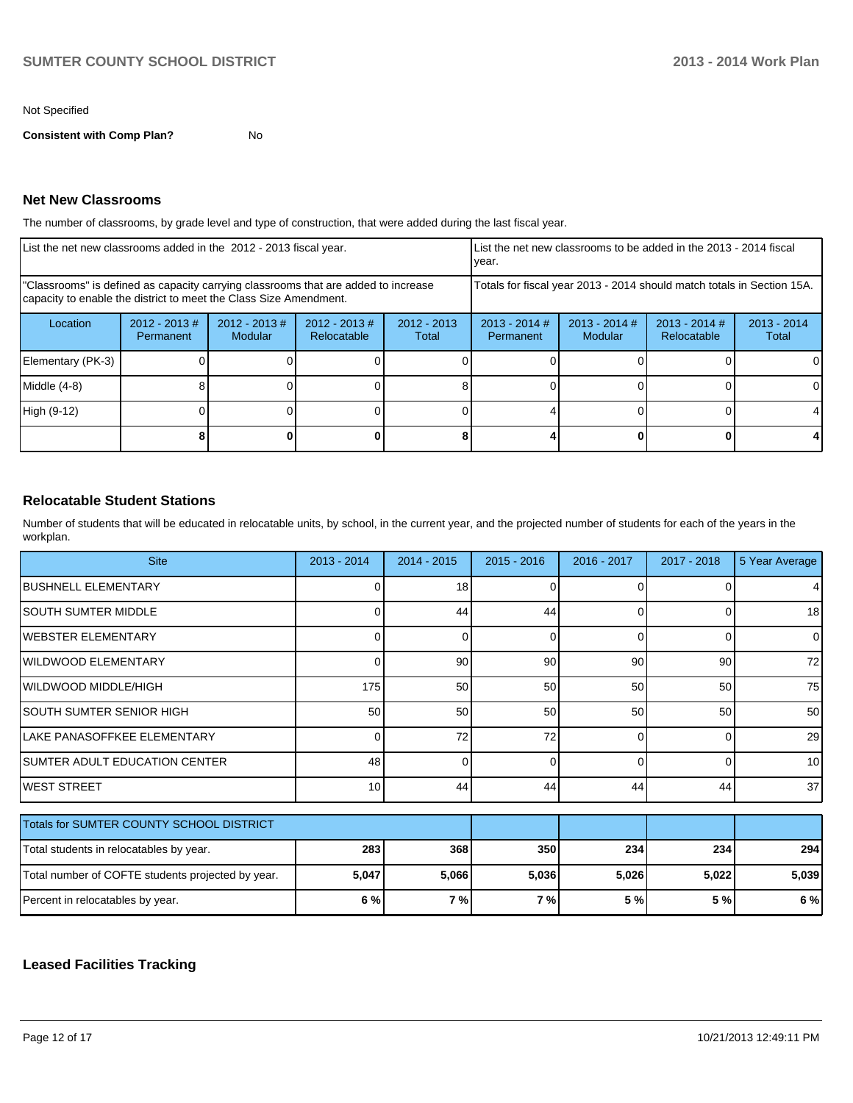#### Not Specified

**Consistent with Comp Plan?** No

### **Net New Classrooms**

The number of classrooms, by grade level and type of construction, that were added during the last fiscal year.

| List the net new classrooms added in the 2012 - 2013 fiscal year.                                                                                       |                               |                             |                                |                        | List the net new classrooms to be added in the 2013 - 2014 fiscal<br>Ivear. |                            |                                       |                        |
|---------------------------------------------------------------------------------------------------------------------------------------------------------|-------------------------------|-----------------------------|--------------------------------|------------------------|-----------------------------------------------------------------------------|----------------------------|---------------------------------------|------------------------|
| "Classrooms" is defined as capacity carrying classrooms that are added to increase<br>capacity to enable the district to meet the Class Size Amendment. |                               |                             |                                |                        | Totals for fiscal year 2013 - 2014 should match totals in Section 15A.      |                            |                                       |                        |
| Location                                                                                                                                                | $2012 - 2013 \#$<br>Permanent | $2012 - 2013 \#$<br>Modular | $2012 - 2013$ #<br>Relocatable | $2012 - 2013$<br>Total | $2013 - 2014$ #<br>Permanent                                                | $2013 - 2014$ #<br>Modular | $2013 - 2014$ #<br><b>Relocatable</b> | $2013 - 2014$<br>Total |
| Elementary (PK-3)                                                                                                                                       |                               |                             |                                |                        |                                                                             |                            |                                       | 0                      |
| $Middle (4-8)$                                                                                                                                          |                               |                             |                                |                        |                                                                             |                            |                                       | $\Omega$               |
| High (9-12)                                                                                                                                             |                               |                             |                                |                        |                                                                             |                            |                                       |                        |
|                                                                                                                                                         |                               |                             |                                |                        |                                                                             |                            | 0                                     |                        |

## **Relocatable Student Stations**

Number of students that will be educated in relocatable units, by school, in the current year, and the projected number of students for each of the years in the workplan.

| <b>Site</b>                                       | $2013 - 2014$   | $2014 - 2015$ | $2015 - 2016$ | 2016 - 2017 | $2017 - 2018$ | 5 Year Average  |
|---------------------------------------------------|-----------------|---------------|---------------|-------------|---------------|-----------------|
| IBUSHNELL ELEMENTARY                              | 0               | 18            |               | $\Omega$    |               | $\overline{4}$  |
| SOUTH SUMTER MIDDLE                               | ∩               | 44            | 44            | $\Omega$    | 0             | 18              |
| <b>WEBSTER ELEMENTARY</b>                         | 0               | 0             | $\Omega$      | $\Omega$    | 0             | $\overline{0}$  |
| <b>WILDWOOD ELEMENTARY</b>                        | 0               | 90            | 90            | 90          | 90            | 72              |
| <b>IWILDWOOD MIDDLE/HIGH</b>                      | 175             | 50            | 50            | 50          | 50            | 75              |
| <b>SOUTH SUMTER SENIOR HIGH</b>                   | 50              | 50            | 50            | 50          | 50            | 50              |
| LAKE PANASOFFKEE ELEMENTARY                       | U               | 72            | 72            | $\Omega$    | $\Omega$      | 29              |
| SUMTER ADULT EDUCATION CENTER                     | 48              | 0             | 0             | $\Omega$    | $\Omega$      | 10 <sup>1</sup> |
| <b>IWEST STREET</b>                               | 10 <sup>1</sup> | 44            | 44            | 44          | 44            | 37              |
| Totals for SUMTER COUNTY SCHOOL DISTRICT          |                 |               |               |             |               |                 |
|                                                   |                 |               |               |             |               |                 |
| Total students in relocatables by year.           | 283             | 368           | 350           | 234         | 234           | 294             |
| Total number of COFTE students projected by year. | 5,047           | 5,066         | 5,036         | 5,026       | 5,022         | 5,039           |
| Percent in relocatables by year.                  | 6%              | 7%            | 7 %           | 5 %         | 5 %           | 6 %             |

### **Leased Facilities Tracking**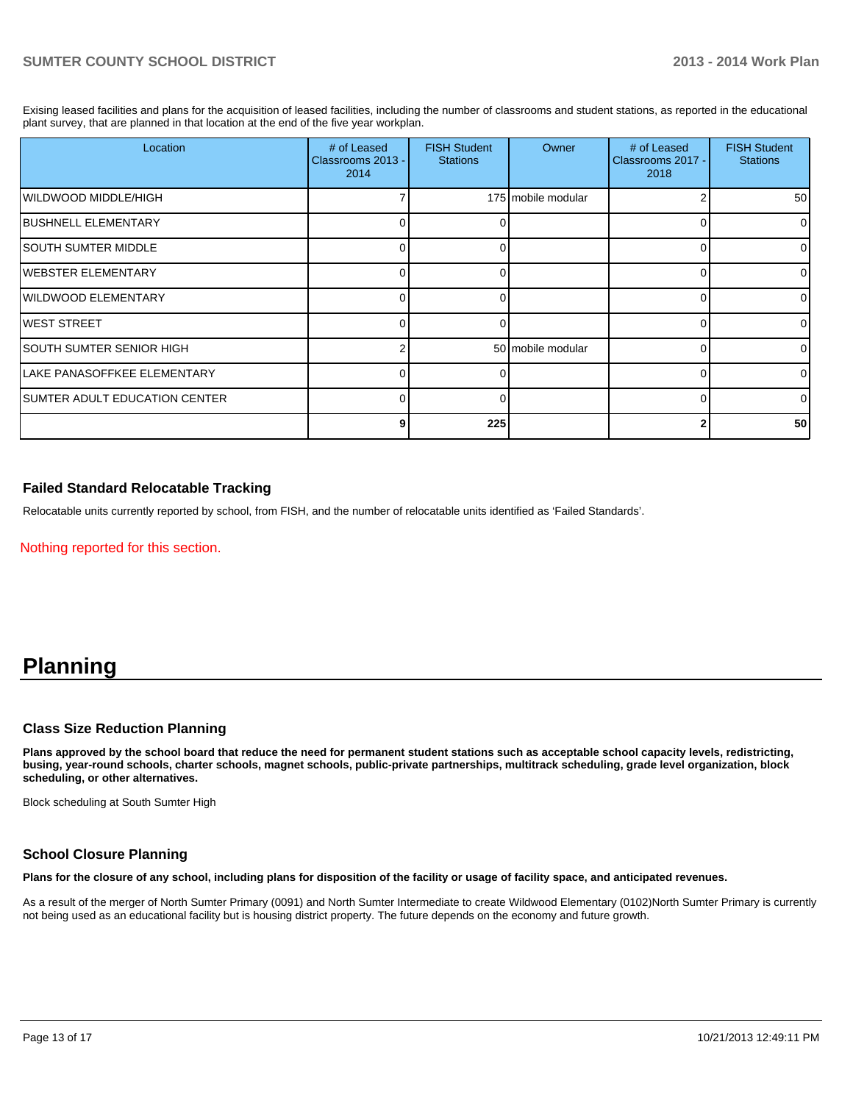Exising leased facilities and plans for the acquisition of leased facilities, including the number of classrooms and student stations, as reported in the educational plant survey, that are planned in that location at the end of the five year workplan.

| Location                       | # of Leased<br>Classrooms 2013 -<br>2014 | <b>FISH Student</b><br><b>Stations</b> | Owner              | # of Leased<br>Classrooms 2017 -<br>2018 | <b>FISH Student</b><br><b>Stations</b> |
|--------------------------------|------------------------------------------|----------------------------------------|--------------------|------------------------------------------|----------------------------------------|
| IWILDWOOD MIDDLE/HIGH          |                                          |                                        | 175 mobile modular |                                          | 50 <sub>l</sub>                        |
| <b>IBUSHNELL ELEMENTARY</b>    | 0                                        |                                        |                    |                                          | $\overline{0}$                         |
| ISOUTH SUMTER MIDDLE           | 0                                        |                                        |                    |                                          | $\overline{0}$                         |
| IWEBSTER ELEMENTARY            |                                          |                                        |                    |                                          | $\Omega$                               |
| WILDWOOD ELEMENTARY            | 0                                        |                                        |                    |                                          | $\Omega$                               |
| lwest street                   |                                          |                                        |                    |                                          | ΩI                                     |
| SOUTH SUMTER SENIOR HIGH       |                                          |                                        | 50 mobile modular  |                                          | ΩI                                     |
| LAKE PANASOFFKEE ELEMENTARY    | n                                        |                                        |                    |                                          | $\Omega$                               |
| ISUMTER ADULT EDUCATION CENTER | U                                        |                                        |                    |                                          | $\Omega$                               |
|                                | 9                                        | 225                                    |                    |                                          | 50 <sub>l</sub>                        |

### **Failed Standard Relocatable Tracking**

Relocatable units currently reported by school, from FISH, and the number of relocatable units identified as 'Failed Standards'.

Nothing reported for this section.

# **Planning**

### **Class Size Reduction Planning**

**Plans approved by the school board that reduce the need for permanent student stations such as acceptable school capacity levels, redistricting, busing, year-round schools, charter schools, magnet schools, public-private partnerships, multitrack scheduling, grade level organization, block scheduling, or other alternatives.**

Block scheduling at South Sumter High

## **School Closure Planning**

**Plans for the closure of any school, including plans for disposition of the facility or usage of facility space, and anticipated revenues.**

As a result of the merger of North Sumter Primary (0091) and North Sumter Intermediate to create Wildwood Elementary (0102)North Sumter Primary is currently not being used as an educational facility but is housing district property. The future depends on the economy and future growth.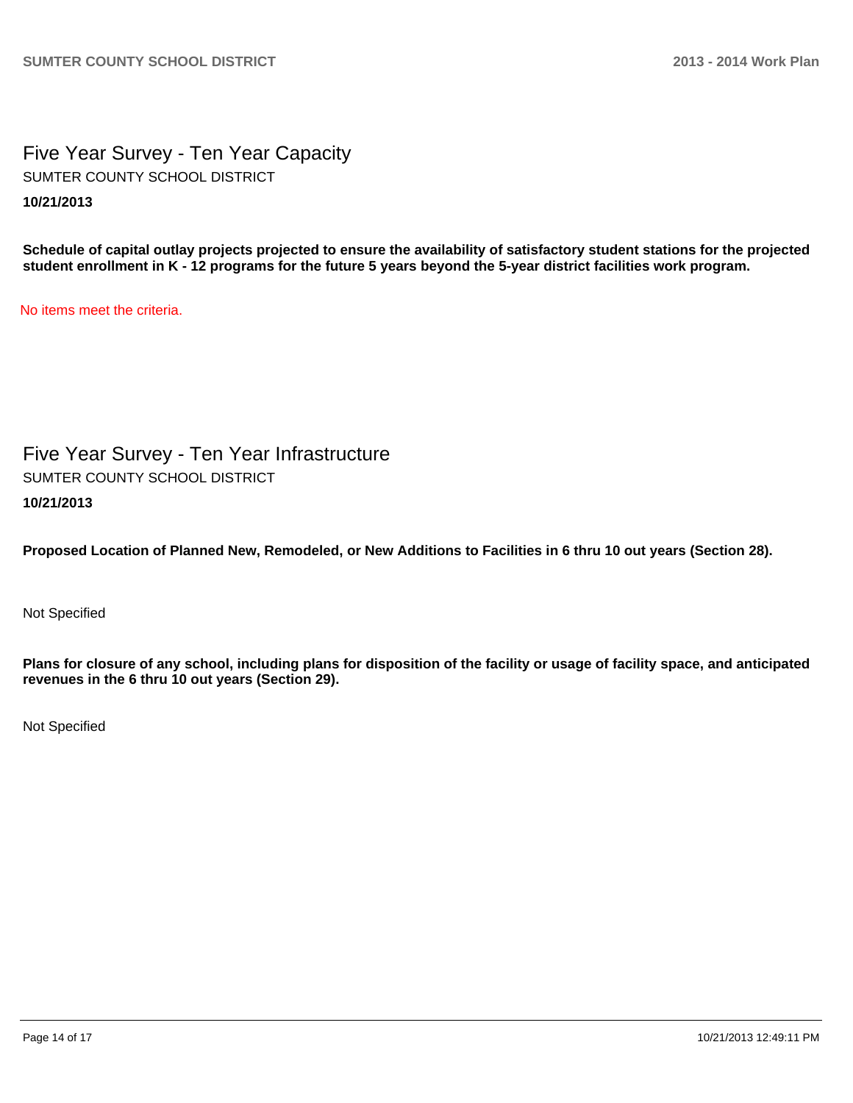Five Year Survey - Ten Year Capacity **10/21/2013** SUMTER COUNTY SCHOOL DISTRICT

**Schedule of capital outlay projects projected to ensure the availability of satisfactory student stations for the projected student enrollment in K - 12 programs for the future 5 years beyond the 5-year district facilities work program.**

No items meet the criteria.

Five Year Survey - Ten Year Infrastructure **10/21/2013** SUMTER COUNTY SCHOOL DISTRICT

**Proposed Location of Planned New, Remodeled, or New Additions to Facilities in 6 thru 10 out years (Section 28).**

Not Specified

**Plans for closure of any school, including plans for disposition of the facility or usage of facility space, and anticipated revenues in the 6 thru 10 out years (Section 29).**

Not Specified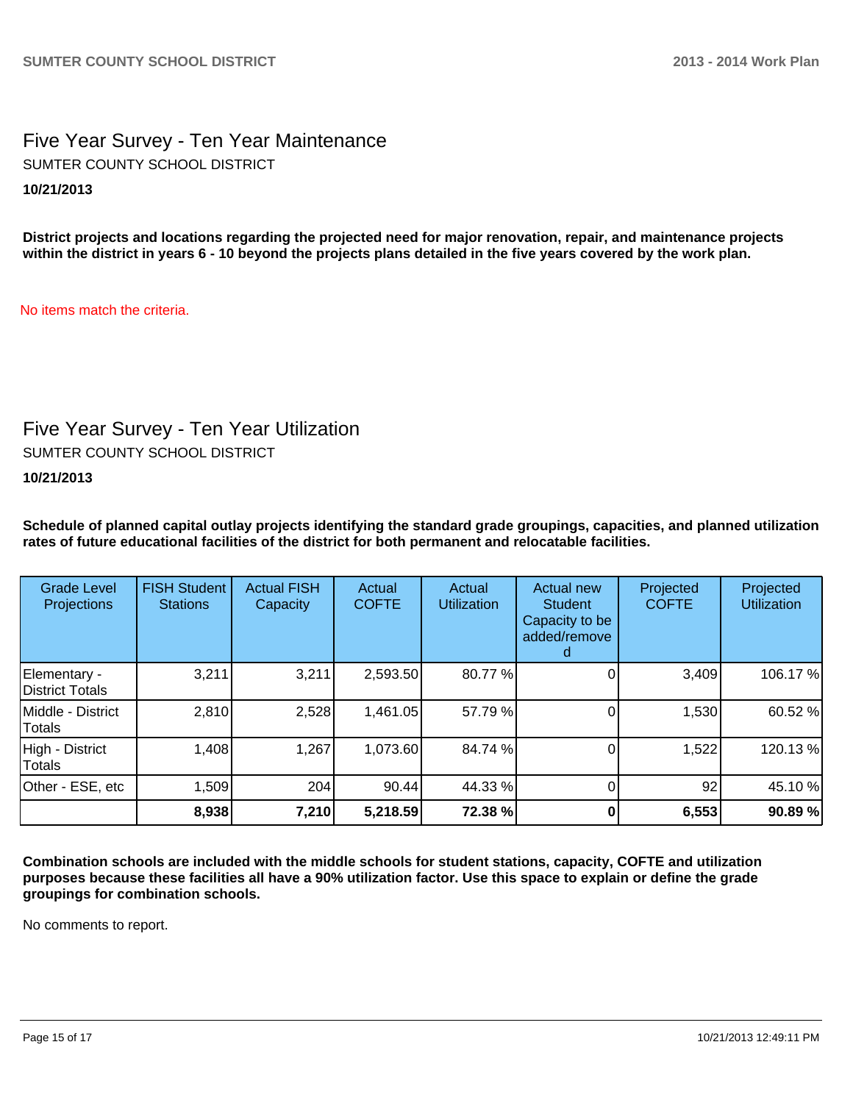# Five Year Survey - Ten Year Maintenance **10/21/2013** SUMTER COUNTY SCHOOL DISTRICT

**District projects and locations regarding the projected need for major renovation, repair, and maintenance projects within the district in years 6 - 10 beyond the projects plans detailed in the five years covered by the work plan.**

No items match the criteria.

# Five Year Survey - Ten Year Utilization

SUMTER COUNTY SCHOOL DISTRICT

**10/21/2013**

**Schedule of planned capital outlay projects identifying the standard grade groupings, capacities, and planned utilization rates of future educational facilities of the district for both permanent and relocatable facilities.**

| <b>Grade Level</b><br><b>Projections</b> | <b>FISH Student</b><br><b>Stations</b> | <b>Actual FISH</b><br>Capacity | Actual<br><b>COFTE</b> | Actual<br><b>Utilization</b> | Actual new<br><b>Student</b><br>Capacity to be<br>added/remove | Projected<br><b>COFTE</b> | Projected<br><b>Utilization</b> |
|------------------------------------------|----------------------------------------|--------------------------------|------------------------|------------------------------|----------------------------------------------------------------|---------------------------|---------------------------------|
| Elementary -<br>District Totals          | 3,211                                  | 3,211                          | 2,593.50               | 80.77%                       |                                                                | 3,409                     | 106.17%                         |
| Middle - District<br>Totals              | 2,810                                  | 2,528                          | 1,461.05               | 57.79 %                      |                                                                | 1,530                     | 60.52%                          |
| High - District<br><b>Totals</b>         | 1,408                                  | 1,267                          | 1,073.60               | 84.74 %                      |                                                                | 1,522                     | 120.13%                         |
| Other - ESE, etc                         | 1,509                                  | 204                            | 90.44                  | 44.33 %                      |                                                                | 92                        | 45.10%                          |
|                                          | 8,938                                  | 7,210                          | 5,218.59               | 72.38 %                      |                                                                | 6,553                     | 90.89%                          |

**Combination schools are included with the middle schools for student stations, capacity, COFTE and utilization purposes because these facilities all have a 90% utilization factor. Use this space to explain or define the grade groupings for combination schools.**

No comments to report.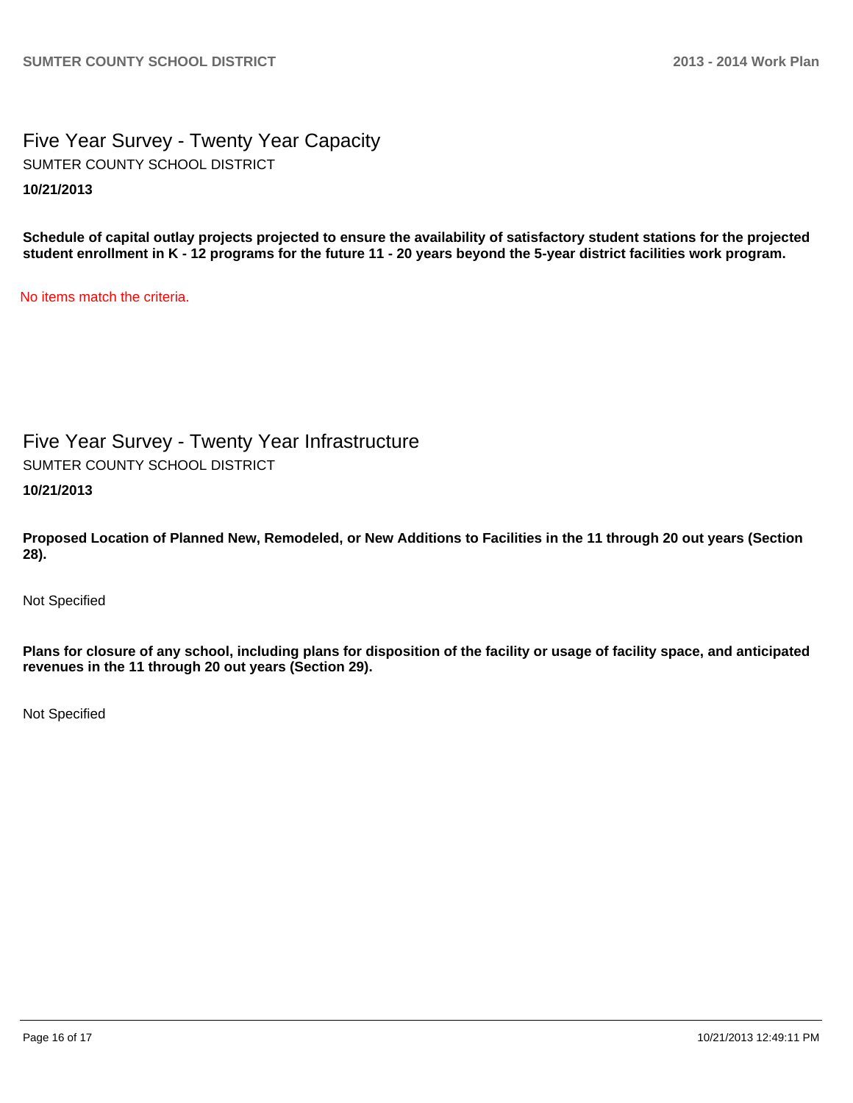Five Year Survey - Twenty Year Capacity **10/21/2013** SUMTER COUNTY SCHOOL DISTRICT

**Schedule of capital outlay projects projected to ensure the availability of satisfactory student stations for the projected student enrollment in K - 12 programs for the future 11 - 20 years beyond the 5-year district facilities work program.**

No items match the criteria.

Five Year Survey - Twenty Year Infrastructure **10/21/2013** SUMTER COUNTY SCHOOL DISTRICT

**Proposed Location of Planned New, Remodeled, or New Additions to Facilities in the 11 through 20 out years (Section 28).**

Not Specified

**Plans for closure of any school, including plans for disposition of the facility or usage of facility space, and anticipated revenues in the 11 through 20 out years (Section 29).**

Not Specified